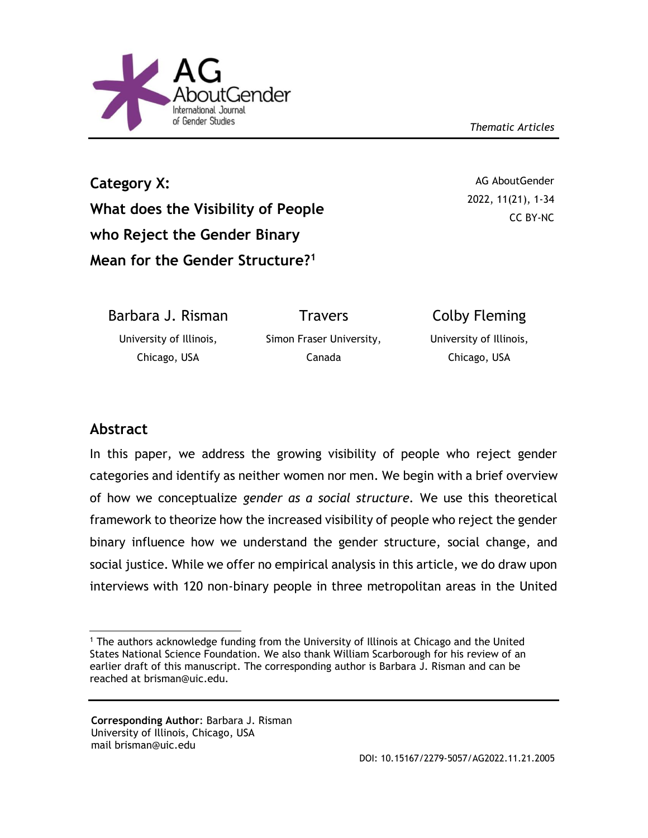



**Category X: What does the Visibility of People who Reject the Gender Binary Mean for the Gender Structure?<sup>1</sup>**

AG AboutGender 2022, 11(21), 1-34 CC BY-NC

Barbara J. Risman University of Illinois, Chicago, USA **Travers** Simon Fraser University, Canada Colby Fleming University of Illinois, Chicago, USA

# **Abstract**

In this paper, we address the growing visibility of people who reject gender categories and identify as neither women nor men. We begin with a brief overview of how we conceptualize *gender as a social structure.* We use this theoretical framework to theorize how the increased visibility of people who reject the gender binary influence how we understand the gender structure, social change, and social justice. While we offer no empirical analysis in this article, we do draw upon interviews with 120 non-binary people in three metropolitan areas in the United

 <sup>1</sup> The authors acknowledge funding from the University of Illinois at Chicago and the United States National Science Foundation. We also thank William Scarborough for his review of an earlier draft of this manuscript. The corresponding author is Barbara J. Risman and can be reached at brisman@uic.edu.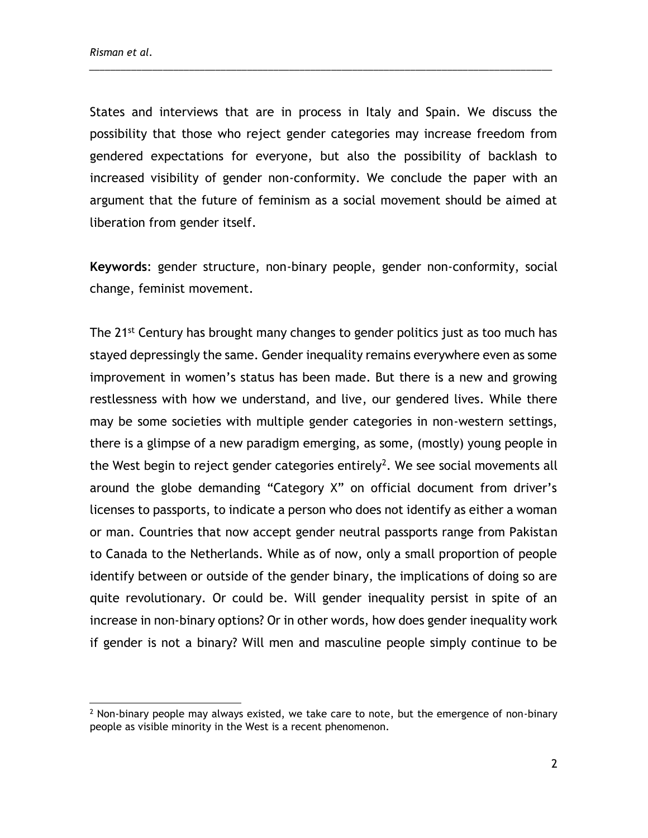States and interviews that are in process in Italy and Spain. We discuss the possibility that those who reject gender categories may increase freedom from gendered expectations for everyone, but also the possibility of backlash to increased visibility of gender non-conformity. We conclude the paper with an argument that the future of feminism as a social movement should be aimed at liberation from gender itself.

\_\_\_\_\_\_\_\_\_\_\_\_\_\_\_\_\_\_\_\_\_\_\_\_\_\_\_\_\_\_\_\_\_\_\_\_\_\_\_\_\_\_\_\_\_\_\_\_\_\_\_\_\_\_\_\_\_\_\_\_\_\_\_\_\_\_\_\_\_\_\_\_\_\_\_\_\_\_\_\_\_\_\_\_\_\_\_\_

**Keywords**: gender structure, non-binary people, gender non-conformity, social change, feminist movement.

The 21<sup>st</sup> Century has brought many changes to gender politics just as too much has stayed depressingly the same. Gender inequality remains everywhere even as some improvement in women's status has been made. But there is a new and growing restlessness with how we understand, and live, our gendered lives. While there may be some societies with multiple gender categories in non-western settings, there is a glimpse of a new paradigm emerging, as some, (mostly) young people in the West begin to reject gender categories entirely<sup>2</sup>. We see social movements all around the globe demanding "Category X" on official document from driver's licenses to passports, to indicate a person who does not identify as either a woman or man. Countries that now accept gender neutral passports range from Pakistan to Canada to the Netherlands. While as of now, only a small proportion of people identify between or outside of the gender binary, the implications of doing so are quite revolutionary. Or could be. Will gender inequality persist in spite of an increase in non-binary options? Or in other words, how does gender inequality work if gender is not a binary? Will men and masculine people simply continue to be

 $<sup>2</sup>$  Non-binary people may always existed, we take care to note, but the emergence of non-binary</sup> people as visible minority in the West is a recent phenomenon.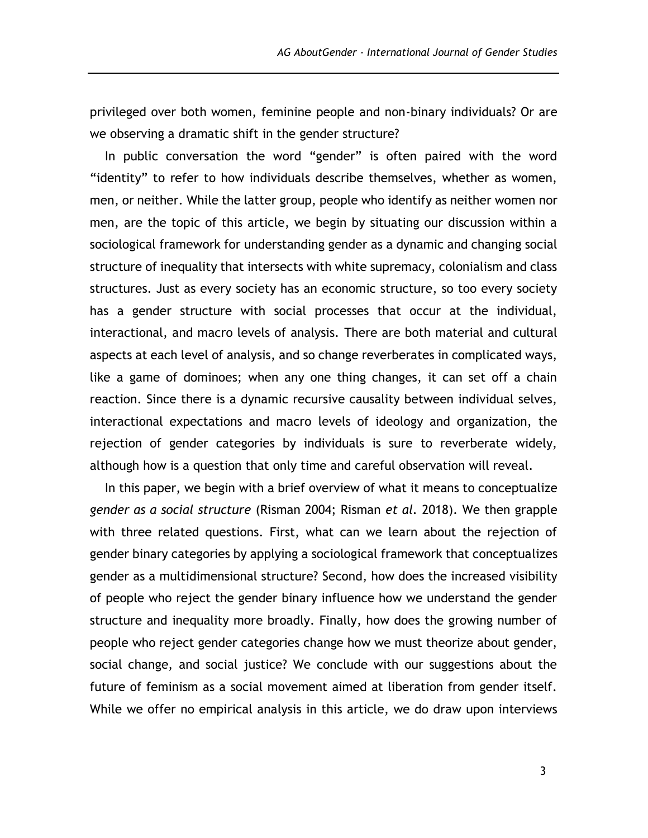privileged over both women, feminine people and non-binary individuals? Or are we observing a dramatic shift in the gender structure?

In public conversation the word "gender" is often paired with the word "identity" to refer to how individuals describe themselves, whether as women, men, or neither. While the latter group, people who identify as neither women nor men, are the topic of this article, we begin by situating our discussion within a sociological framework for understanding gender as a dynamic and changing social structure of inequality that intersects with white supremacy, colonialism and class structures. Just as every society has an economic structure, so too every society has a gender structure with social processes that occur at the individual, interactional, and macro levels of analysis. There are both material and cultural aspects at each level of analysis, and so change reverberates in complicated ways, like a game of dominoes; when any one thing changes, it can set off a chain reaction. Since there is a dynamic recursive causality between individual selves, interactional expectations and macro levels of ideology and organization, the rejection of gender categories by individuals is sure to reverberate widely, although how is a question that only time and careful observation will reveal.

In this paper, we begin with a brief overview of what it means to conceptualize *gender as a social structure* (Risman 2004; Risman *et al.* 2018). We then grapple with three related questions. First, what can we learn about the rejection of gender binary categories by applying a sociological framework that conceptualizes gender as a multidimensional structure? Second, how does the increased visibility of people who reject the gender binary influence how we understand the gender structure and inequality more broadly. Finally, how does the growing number of people who reject gender categories change how we must theorize about gender, social change, and social justice? We conclude with our suggestions about the future of feminism as a social movement aimed at liberation from gender itself. While we offer no empirical analysis in this article, we do draw upon interviews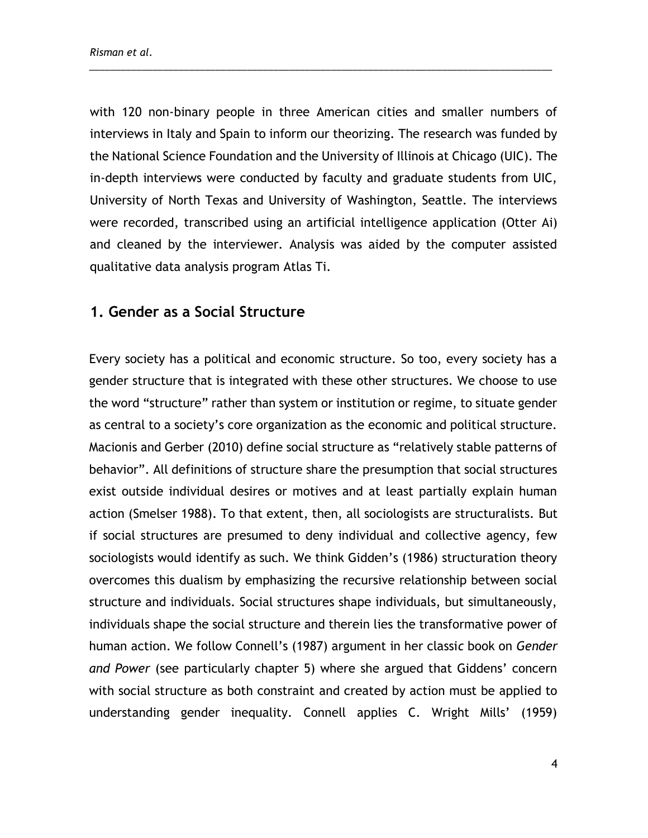with 120 non-binary people in three American cities and smaller numbers of interviews in Italy and Spain to inform our theorizing. The research was funded by the National Science Foundation and the University of Illinois at Chicago (UIC). The in-depth interviews were conducted by faculty and graduate students from UIC, University of North Texas and University of Washington, Seattle. The interviews were recorded, transcribed using an artificial intelligence application (Otter Ai) and cleaned by the interviewer. Analysis was aided by the computer assisted qualitative data analysis program Atlas Ti.

\_\_\_\_\_\_\_\_\_\_\_\_\_\_\_\_\_\_\_\_\_\_\_\_\_\_\_\_\_\_\_\_\_\_\_\_\_\_\_\_\_\_\_\_\_\_\_\_\_\_\_\_\_\_\_\_\_\_\_\_\_\_\_\_\_\_\_\_\_\_\_\_\_\_\_\_\_\_\_\_\_\_\_\_\_\_\_\_

## **1. Gender as a Social Structure**

Every society has a political and economic structure. So too, every society has a gender structure that is integrated with these other structures. We choose to use the word "structure" rather than system or institution or regime, to situate gender as central to a society's core organization as the economic and political structure. Macionis and Gerber (2010) define social structure as "relatively stable patterns of behavior". All definitions of structure share the presumption that social structures exist outside individual desires or motives and at least partially explain human action (Smelser 1988). To that extent, then, all sociologists are structuralists. But if social structures are presumed to deny individual and collective agency, few sociologists would identify as such. We think Gidden's (1986) structuration theory overcomes this dualism by emphasizing the recursive relationship between social structure and individuals. Social structures shape individuals, but simultaneously, individuals shape the social structure and therein lies the transformative power of human action. We follow Connell's (1987) argument in her classi*c* book on *Gender and Power* (see particularly chapter 5) where she argued that Giddens' concern with social structure as both constraint and created by action must be applied to understanding gender inequality. Connell applies C. Wright Mills' (1959)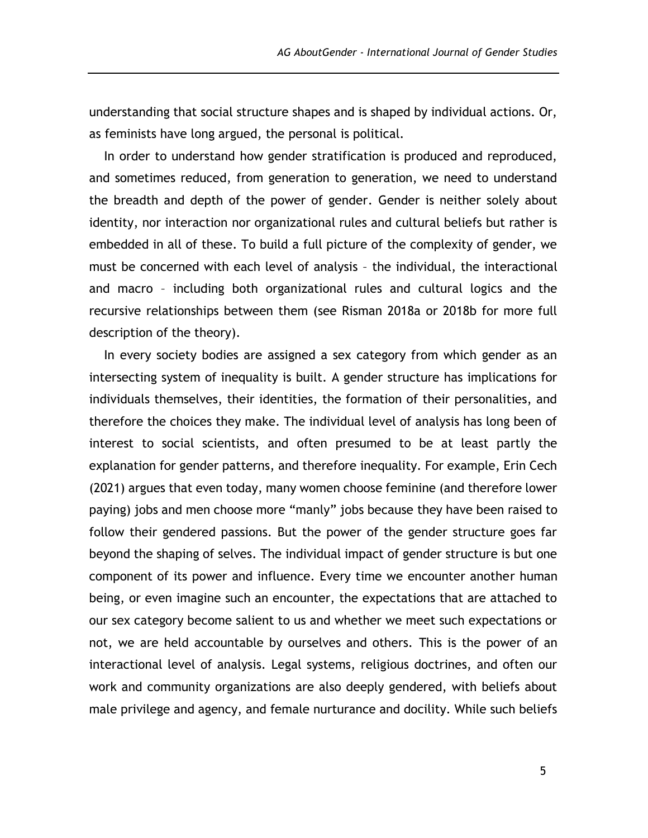understanding that social structure shapes and is shaped by individual actions. Or, as feminists have long argued, the personal is political.

In order to understand how gender stratification is produced and reproduced, and sometimes reduced, from generation to generation, we need to understand the breadth and depth of the power of gender. Gender is neither solely about identity, nor interaction nor organizational rules and cultural beliefs but rather is embedded in all of these. To build a full picture of the complexity of gender, we must be concerned with each level of analysis – the individual, the interactional and macro – including both organizational rules and cultural logics and the recursive relationships between them (see Risman 2018a or 2018b for more full description of the theory).

In every society bodies are assigned a sex category from which gender as an intersecting system of inequality is built. A gender structure has implications for individuals themselves, their identities, the formation of their personalities, and therefore the choices they make. The individual level of analysis has long been of interest to social scientists, and often presumed to be at least partly the explanation for gender patterns, and therefore inequality. For example, Erin Cech (2021) argues that even today, many women choose feminine (and therefore lower paying) jobs and men choose more "manly" jobs because they have been raised to follow their gendered passions. But the power of the gender structure goes far beyond the shaping of selves. The individual impact of gender structure is but one component of its power and influence. Every time we encounter another human being, or even imagine such an encounter, the expectations that are attached to our sex category become salient to us and whether we meet such expectations or not, we are held accountable by ourselves and others. This is the power of an interactional level of analysis. Legal systems, religious doctrines, and often our work and community organizations are also deeply gendered, with beliefs about male privilege and agency, and female nurturance and docility. While such beliefs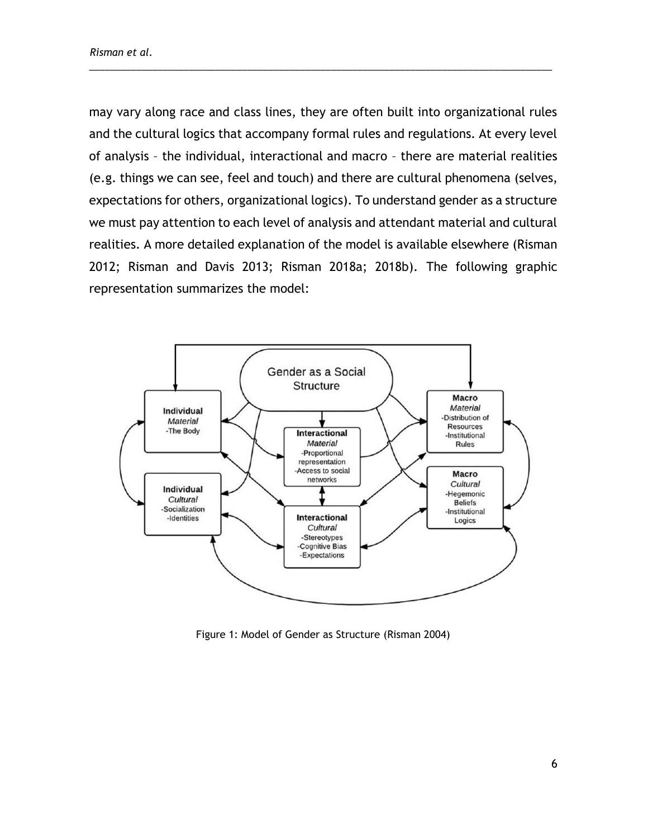may vary along race and class lines, they are often built into organizational rules and the cultural logics that accompany formal rules and regulations. At every level of analysis – the individual, interactional and macro – there are material realities (e.g. things we can see, feel and touch) and there are cultural phenomena (selves, expectations for others, organizational logics). To understand gender as a structure we must pay attention to each level of analysis and attendant material and cultural realities. A more detailed explanation of the model is available elsewhere (Risman 2012; Risman and Davis 2013; Risman 2018a; 2018b). The following graphic representation summarizes the model:



Figure 1: Model of Gender as Structure (Risman 2004)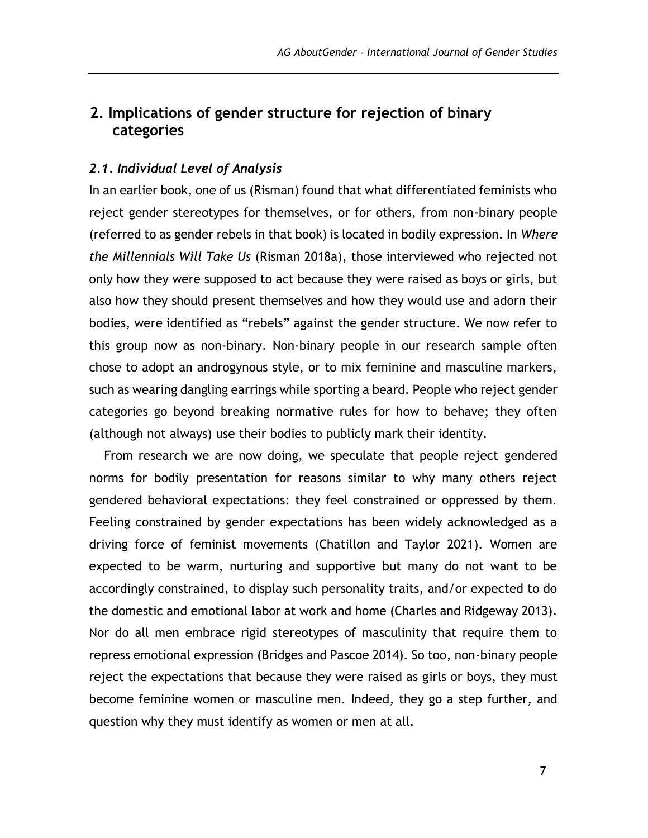# **2. Implications of gender structure for rejection of binary categories**

### *2.1. Individual Level of Analysis*

In an earlier book, one of us (Risman) found that what differentiated feminists who reject gender stereotypes for themselves, or for others, from non-binary people (referred to as gender rebels in that book) is located in bodily expression. In *Where the Millennials Will Take Us* (Risman 2018a), those interviewed who rejected not only how they were supposed to act because they were raised as boys or girls, but also how they should present themselves and how they would use and adorn their bodies, were identified as "rebels" against the gender structure. We now refer to this group now as non-binary. Non-binary people in our research sample often chose to adopt an androgynous style, or to mix feminine and masculine markers, such as wearing dangling earrings while sporting a beard. People who reject gender categories go beyond breaking normative rules for how to behave; they often (although not always) use their bodies to publicly mark their identity.

From research we are now doing, we speculate that people reject gendered norms for bodily presentation for reasons similar to why many others reject gendered behavioral expectations: they feel constrained or oppressed by them. Feeling constrained by gender expectations has been widely acknowledged as a driving force of feminist movements (Chatillon and Taylor 2021). Women are expected to be warm, nurturing and supportive but many do not want to be accordingly constrained, to display such personality traits, and/or expected to do the domestic and emotional labor at work and home (Charles and Ridgeway 2013). Nor do all men embrace rigid stereotypes of masculinity that require them to repress emotional expression (Bridges and Pascoe 2014). So too, non-binary people reject the expectations that because they were raised as girls or boys, they must become feminine women or masculine men. Indeed, they go a step further, and question why they must identify as women or men at all.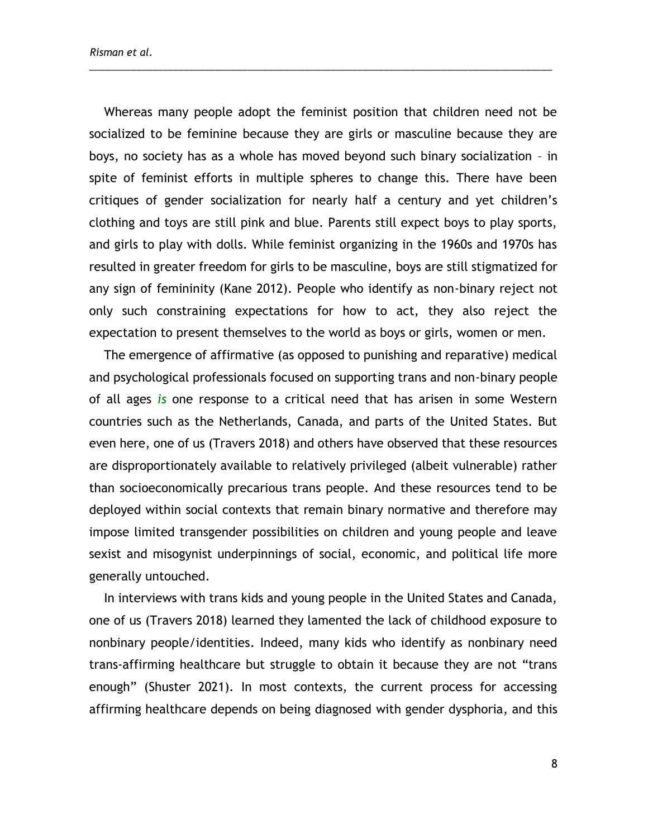Whereas many people adopt the feminist position that children need not be socialized to be feminine because they are girls or masculine because they are boys, no society has as a whole has moved beyond such binary socialization – in spite of feminist efforts in multiple spheres to change this. There have been critiques of gender socialization for nearly half a century and yet children's clothing and toys are still pink and blue. Parents still expect boys to play sports, and girls to play with dolls. While feminist organizing in the 1960s and 1970s has resulted in greater freedom for girls to be masculine, boys are still stigmatized for any sign of femininity (Kane 2012). People who identify as non-binary reject not only such constraining expectations for how to act, they also reject the expectation to present themselves to the world as boys or girls, women or men.

\_\_\_\_\_\_\_\_\_\_\_\_\_\_\_\_\_\_\_\_\_\_\_\_\_\_\_\_\_\_\_\_\_\_\_\_\_\_\_\_\_\_\_\_\_\_\_\_\_\_\_\_\_\_\_\_\_\_\_\_\_\_\_\_\_\_\_\_\_\_\_\_\_\_\_\_\_\_\_\_\_\_\_\_\_\_\_\_

The emergence of affirmative (as opposed to punishing and reparative) medical and psychological professionals focused on supporting trans and non-binary people of all ages *is* one response to a critical need that has arisen in some Western countries such as the Netherlands, Canada, and parts of the United States. But even here, one of us (Travers 2018) and others have observed that these resources are disproportionately available to relatively privileged (albeit vulnerable) rather than socioeconomically precarious trans people. And these resources tend to be deployed within social contexts that remain binary normative and therefore may impose limited transgender possibilities on children and young people and leave sexist and misogynist underpinnings of social, economic, and political life more generally untouched.

In interviews with trans kids and young people in the United States and Canada, one of us (Travers 2018) learned they lamented the lack of childhood exposure to nonbinary people/identities. Indeed, many kids who identify as nonbinary need trans-affirming healthcare but struggle to obtain it because they are not "trans enough" (Shuster 2021). In most contexts, the current process for accessing affirming healthcare depends on being diagnosed with gender dysphoria, and this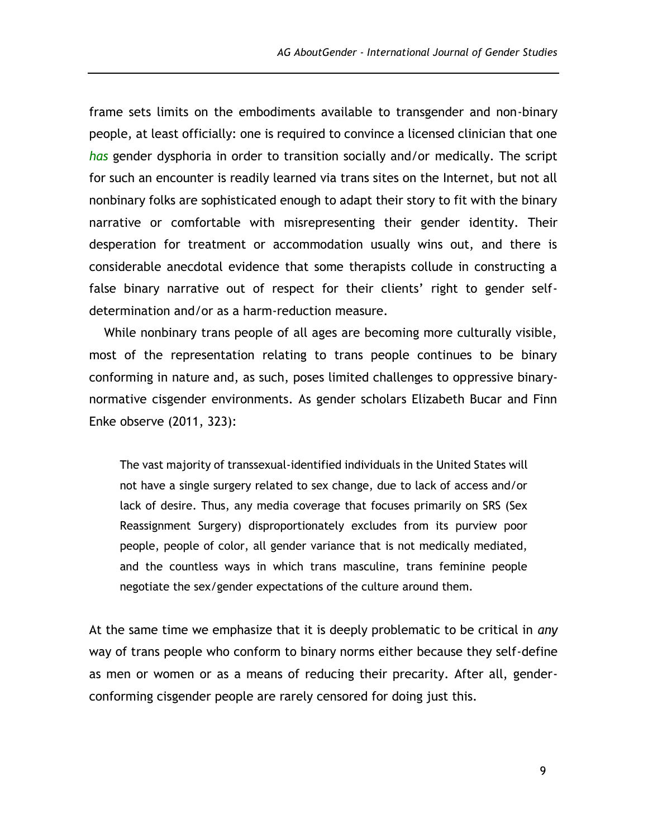frame sets limits on the embodiments available to transgender and non-binary people, at least officially: one is required to convince a licensed clinician that one *has* gender dysphoria in order to transition socially and/or medically. The script for such an encounter is readily learned via trans sites on the Internet, but not all nonbinary folks are sophisticated enough to adapt their story to fit with the binary narrative or comfortable with misrepresenting their gender identity. Their desperation for treatment or accommodation usually wins out, and there is considerable anecdotal evidence that some therapists collude in constructing a false binary narrative out of respect for their clients' right to gender selfdetermination and/or as a harm-reduction measure.

While nonbinary trans people of all ages are becoming more culturally visible, most of the representation relating to trans people continues to be binary conforming in nature and, as such, poses limited challenges to oppressive binarynormative cisgender environments. As gender scholars Elizabeth Bucar and Finn Enke observe (2011, 323):

The vast majority of transsexual-identified individuals in the United States will not have a single surgery related to sex change, due to lack of access and/or lack of desire. Thus, any media coverage that focuses primarily on SRS (Sex Reassignment Surgery) disproportionately excludes from its purview poor people, people of color, all gender variance that is not medically mediated, and the countless ways in which trans masculine, trans feminine people negotiate the sex/gender expectations of the culture around them.

At the same time we emphasize that it is deeply problematic to be critical in *any* way of trans people who conform to binary norms either because they self-define as men or women or as a means of reducing their precarity. After all, genderconforming cisgender people are rarely censored for doing just this.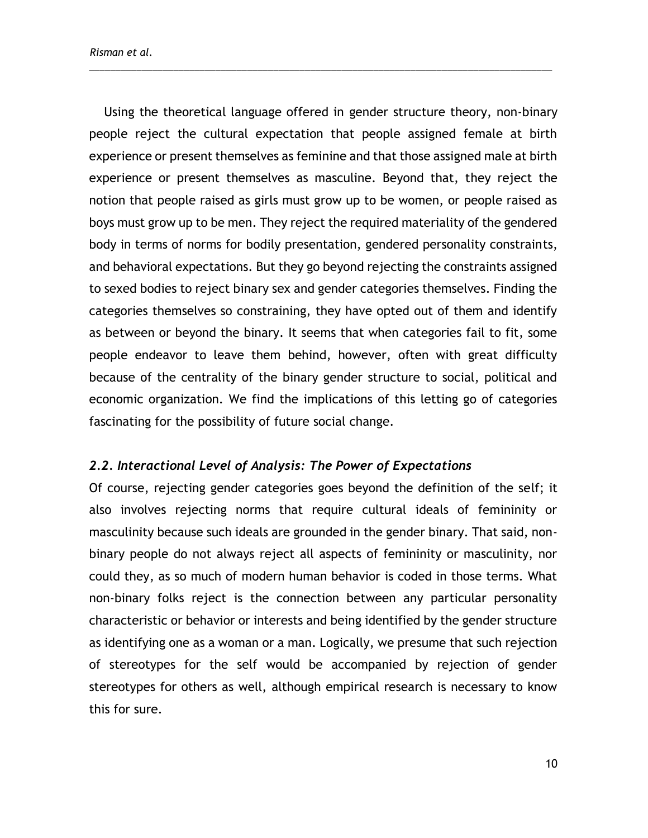Using the theoretical language offered in gender structure theory, non-binary people reject the cultural expectation that people assigned female at birth experience or present themselves as feminine and that those assigned male at birth experience or present themselves as masculine. Beyond that, they reject the notion that people raised as girls must grow up to be women, or people raised as boys must grow up to be men. They reject the required materiality of the gendered body in terms of norms for bodily presentation, gendered personality constraints, and behavioral expectations. But they go beyond rejecting the constraints assigned to sexed bodies to reject binary sex and gender categories themselves. Finding the categories themselves so constraining, they have opted out of them and identify as between or beyond the binary. It seems that when categories fail to fit, some people endeavor to leave them behind, however, often with great difficulty because of the centrality of the binary gender structure to social, political and economic organization. We find the implications of this letting go of categories fascinating for the possibility of future social change.

\_\_\_\_\_\_\_\_\_\_\_\_\_\_\_\_\_\_\_\_\_\_\_\_\_\_\_\_\_\_\_\_\_\_\_\_\_\_\_\_\_\_\_\_\_\_\_\_\_\_\_\_\_\_\_\_\_\_\_\_\_\_\_\_\_\_\_\_\_\_\_\_\_\_\_\_\_\_\_\_\_\_\_\_\_\_\_\_

#### *2.2. Interactional Level of Analysis: The Power of Expectations*

Of course, rejecting gender categories goes beyond the definition of the self; it also involves rejecting norms that require cultural ideals of femininity or masculinity because such ideals are grounded in the gender binary. That said, nonbinary people do not always reject all aspects of femininity or masculinity, nor could they, as so much of modern human behavior is coded in those terms. What non-binary folks reject is the connection between any particular personality characteristic or behavior or interests and being identified by the gender structure as identifying one as a woman or a man. Logically, we presume that such rejection of stereotypes for the self would be accompanied by rejection of gender stereotypes for others as well, although empirical research is necessary to know this for sure.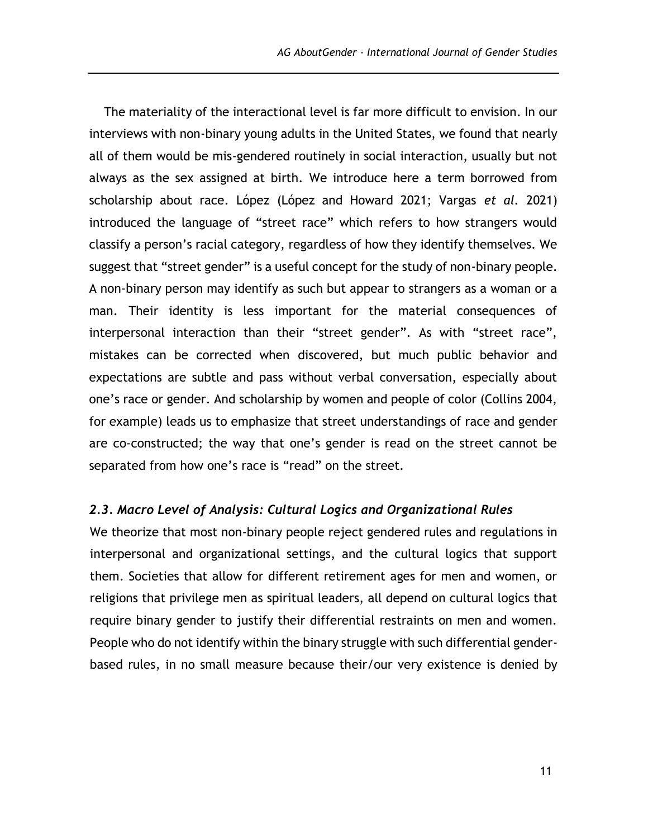The materiality of the interactional level is far more difficult to envision. In our interviews with non-binary young adults in the United States, we found that nearly all of them would be mis-gendered routinely in social interaction, usually but not always as the sex assigned at birth. We introduce here a term borrowed from scholarship about race. López (López and Howard 2021; Vargas *et al.* 2021) introduced the language of "street race" which refers to how strangers would classify a person's racial category, regardless of how they identify themselves. We suggest that "street gender" is a useful concept for the study of non-binary people. A non-binary person may identify as such but appear to strangers as a woman or a man. Their identity is less important for the material consequences of interpersonal interaction than their "street gender". As with "street race", mistakes can be corrected when discovered, but much public behavior and expectations are subtle and pass without verbal conversation, especially about one's race or gender. And scholarship by women and people of color (Collins 2004, for example) leads us to emphasize that street understandings of race and gender are co-constructed; the way that one's gender is read on the street cannot be separated from how one's race is "read" on the street.

#### *2.3. Macro Level of Analysis: Cultural Logics and Organizational Rules*

We theorize that most non-binary people reject gendered rules and regulations in interpersonal and organizational settings, and the cultural logics that support them. Societies that allow for different retirement ages for men and women, or religions that privilege men as spiritual leaders, all depend on cultural logics that require binary gender to justify their differential restraints on men and women. People who do not identify within the binary struggle with such differential genderbased rules, in no small measure because their/our very existence is denied by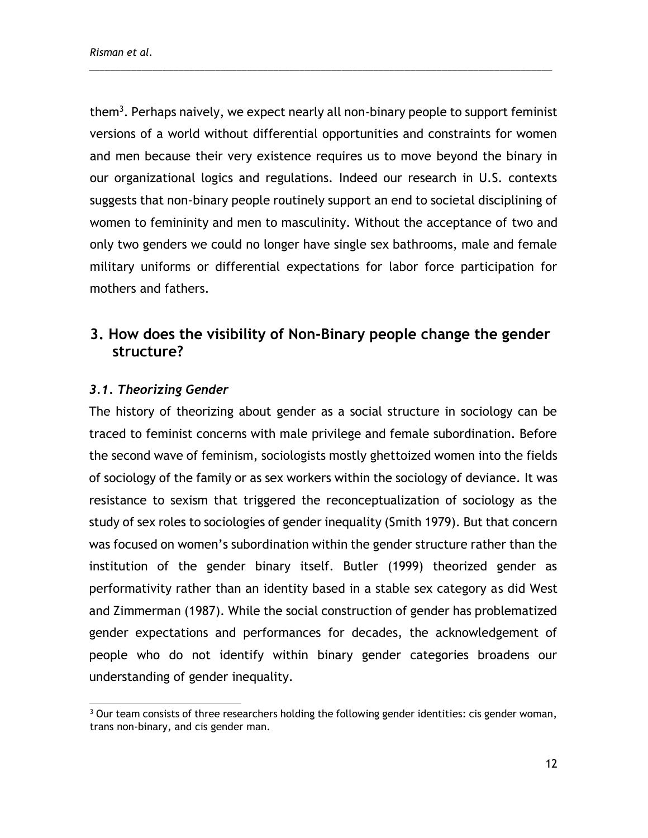them<sup>3</sup>. Perhaps naively, we expect nearly all non-binary people to support feminist versions of a world without differential opportunities and constraints for women and men because their very existence requires us to move beyond the binary in our organizational logics and regulations. Indeed our research in U.S. contexts suggests that non-binary people routinely support an end to societal disciplining of women to femininity and men to masculinity. Without the acceptance of two and only two genders we could no longer have single sex bathrooms, male and female military uniforms or differential expectations for labor force participation for mothers and fathers.

\_\_\_\_\_\_\_\_\_\_\_\_\_\_\_\_\_\_\_\_\_\_\_\_\_\_\_\_\_\_\_\_\_\_\_\_\_\_\_\_\_\_\_\_\_\_\_\_\_\_\_\_\_\_\_\_\_\_\_\_\_\_\_\_\_\_\_\_\_\_\_\_\_\_\_\_\_\_\_\_\_\_\_\_\_\_\_\_

## **3. How does the visibility of Non-Binary people change the gender structure?**

### *3.1. Theorizing Gender*

The history of theorizing about gender as a social structure in sociology can be traced to feminist concerns with male privilege and female subordination. Before the second wave of feminism, sociologists mostly ghettoized women into the fields of sociology of the family or as sex workers within the sociology of deviance. It was resistance to sexism that triggered the reconceptualization of sociology as the study of sex roles to sociologies of gender inequality (Smith 1979). But that concern was focused on women's subordination within the gender structure rather than the institution of the gender binary itself. Butler (1999) theorized gender as performativity rather than an identity based in a stable sex category as did West and Zimmerman (1987). While the social construction of gender has problematized gender expectations and performances for decades, the acknowledgement of people who do not identify within binary gender categories broadens our understanding of gender inequality.

 $3$  Our team consists of three researchers holding the following gender identities: cis gender woman, trans non-binary, and cis gender man.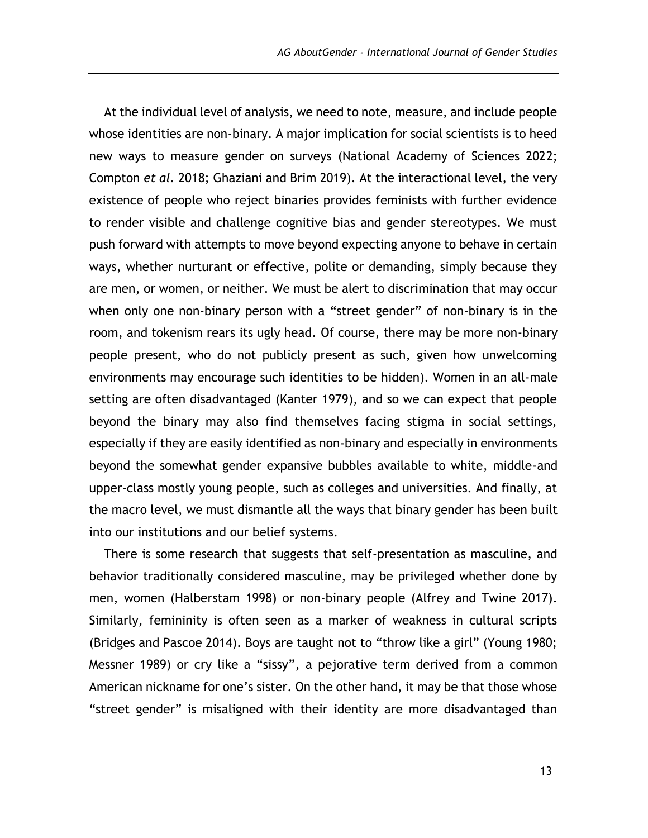At the individual level of analysis, we need to note, measure, and include people whose identities are non-binary. A major implication for social scientists is to heed new ways to measure gender on surveys (National Academy of Sciences 2022; Compton *et al.* 2018; Ghaziani and Brim 2019). At the interactional level, the very existence of people who reject binaries provides feminists with further evidence to render visible and challenge cognitive bias and gender stereotypes. We must push forward with attempts to move beyond expecting anyone to behave in certain ways, whether nurturant or effective, polite or demanding, simply because they are men, or women, or neither. We must be alert to discrimination that may occur when only one non-binary person with a "street gender" of non-binary is in the room, and tokenism rears its ugly head. Of course, there may be more non-binary people present, who do not publicly present as such, given how unwelcoming environments may encourage such identities to be hidden). Women in an all-male setting are often disadvantaged (Kanter 1979), and so we can expect that people beyond the binary may also find themselves facing stigma in social settings, especially if they are easily identified as non-binary and especially in environments beyond the somewhat gender expansive bubbles available to white, middle-and upper-class mostly young people, such as colleges and universities. And finally, at the macro level, we must dismantle all the ways that binary gender has been built into our institutions and our belief systems.

There is some research that suggests that self-presentation as masculine, and behavior traditionally considered masculine, may be privileged whether done by men, women (Halberstam 1998) or non-binary people (Alfrey and Twine 2017). Similarly, femininity is often seen as a marker of weakness in cultural scripts (Bridges and Pascoe 2014). Boys are taught not to "throw like a girl" (Young 1980; Messner 1989) or cry like a "sissy", a pejorative term derived from a common American nickname for one's sister. On the other hand, it may be that those whose "street gender" is misaligned with their identity are more disadvantaged than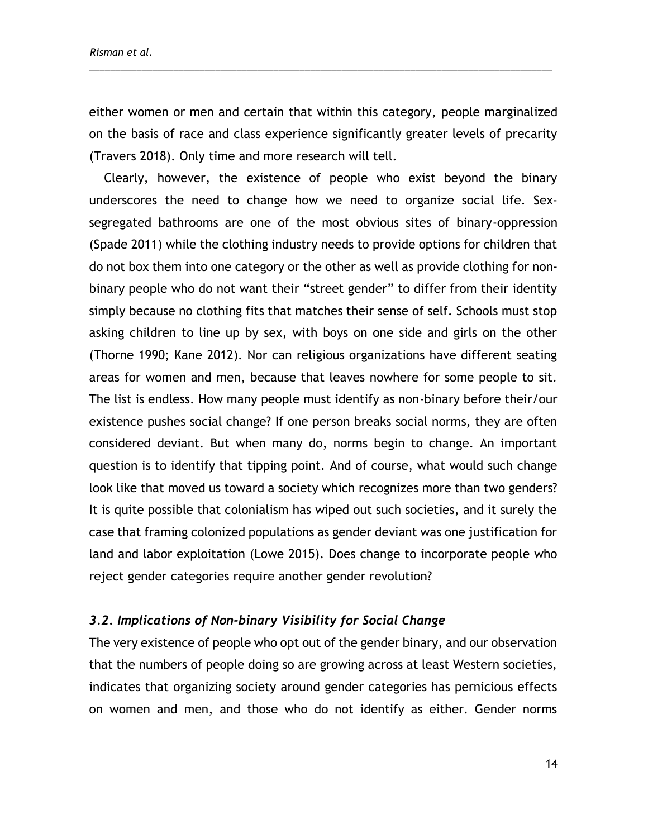*Risman et al.*

either women or men and certain that within this category, people marginalized on the basis of race and class experience significantly greater levels of precarity (Travers 2018). Only time and more research will tell.

\_\_\_\_\_\_\_\_\_\_\_\_\_\_\_\_\_\_\_\_\_\_\_\_\_\_\_\_\_\_\_\_\_\_\_\_\_\_\_\_\_\_\_\_\_\_\_\_\_\_\_\_\_\_\_\_\_\_\_\_\_\_\_\_\_\_\_\_\_\_\_\_\_\_\_\_\_\_\_\_\_\_\_\_\_\_\_\_

Clearly, however, the existence of people who exist beyond the binary underscores the need to change how we need to organize social life. Sexsegregated bathrooms are one of the most obvious sites of binary-oppression (Spade 2011) while the clothing industry needs to provide options for children that do not box them into one category or the other as well as provide clothing for nonbinary people who do not want their "street gender" to differ from their identity simply because no clothing fits that matches their sense of self. Schools must stop asking children to line up by sex, with boys on one side and girls on the other (Thorne 1990; Kane 2012). Nor can religious organizations have different seating areas for women and men, because that leaves nowhere for some people to sit. The list is endless. How many people must identify as non-binary before their/our existence pushes social change? If one person breaks social norms, they are often considered deviant. But when many do, norms begin to change. An important question is to identify that tipping point. And of course, what would such change look like that moved us toward a society which recognizes more than two genders? It is quite possible that colonialism has wiped out such societies, and it surely the case that framing colonized populations as gender deviant was one justification for land and labor exploitation (Lowe 2015). Does change to incorporate people who reject gender categories require another gender revolution?

#### *3.2. Implications of Non-binary Visibility for Social Change*

The very existence of people who opt out of the gender binary, and our observation that the numbers of people doing so are growing across at least Western societies, indicates that organizing society around gender categories has pernicious effects on women and men, and those who do not identify as either. Gender norms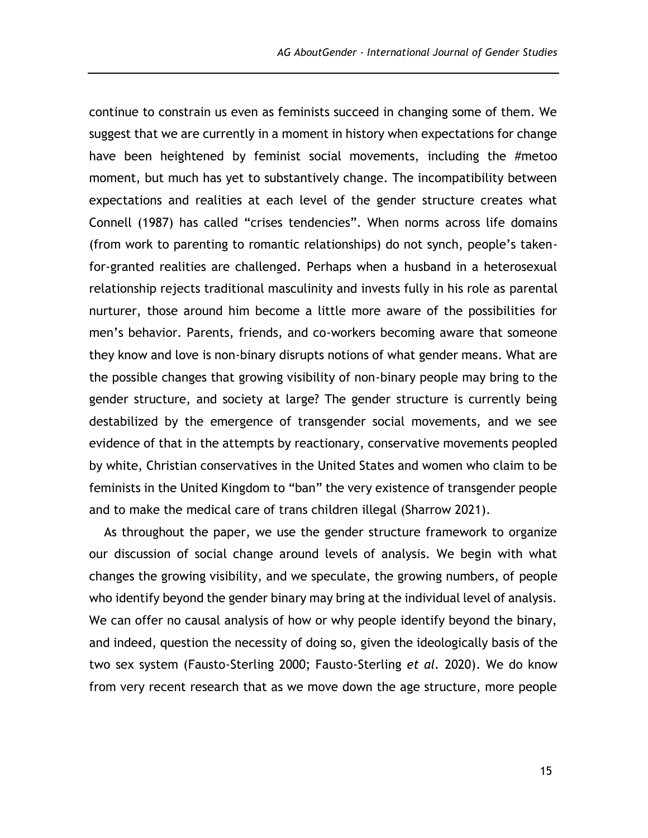continue to constrain us even as feminists succeed in changing some of them. We suggest that we are currently in a moment in history when expectations for change have been heightened by feminist social movements, including the #metoo moment, but much has yet to substantively change. The incompatibility between expectations and realities at each level of the gender structure creates what Connell (1987) has called "crises tendencies". When norms across life domains (from work to parenting to romantic relationships) do not synch, people's takenfor-granted realities are challenged. Perhaps when a husband in a heterosexual relationship rejects traditional masculinity and invests fully in his role as parental nurturer, those around him become a little more aware of the possibilities for men's behavior. Parents, friends, and co-workers becoming aware that someone they know and love is non-binary disrupts notions of what gender means. What are the possible changes that growing visibility of non-binary people may bring to the gender structure, and society at large? The gender structure is currently being destabilized by the emergence of transgender social movements, and we see evidence of that in the attempts by reactionary, conservative movements peopled by white, Christian conservatives in the United States and women who claim to be feminists in the United Kingdom to "ban" the very existence of transgender people and to make the medical care of trans children illegal (Sharrow 2021).

As throughout the paper, we use the gender structure framework to organize our discussion of social change around levels of analysis. We begin with what changes the growing visibility, and we speculate, the growing numbers, of people who identify beyond the gender binary may bring at the individual level of analysis. We can offer no causal analysis of how or why people identify beyond the binary, and indeed, question the necessity of doing so, given the ideologically basis of the two sex system (Fausto-Sterling 2000; Fausto-Sterling *et al.* 2020). We do know from very recent research that as we move down the age structure, more people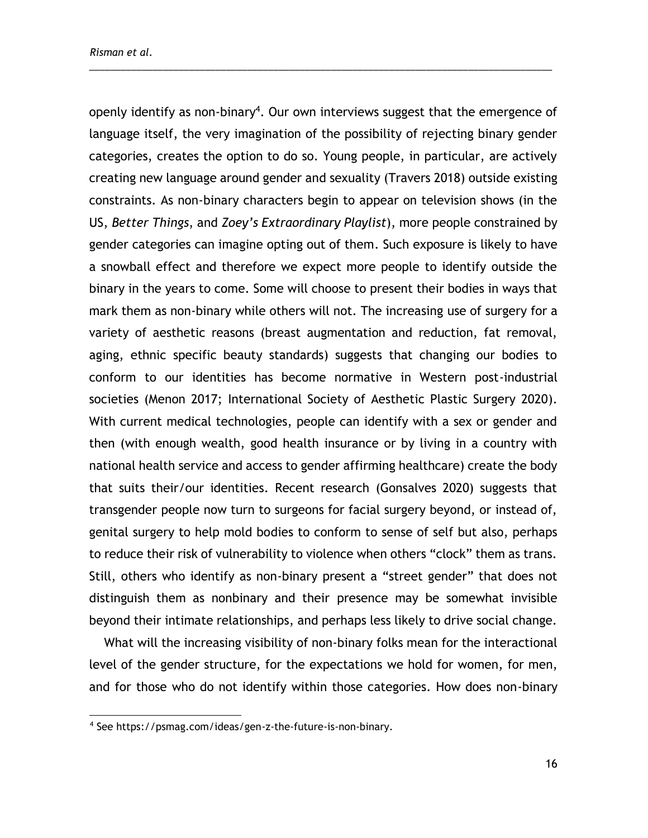openly identify as non-binary<sup>4</sup>. Our own interviews suggest that the emergence of language itself, the very imagination of the possibility of rejecting binary gender categories, creates the option to do so. Young people, in particular, are actively creating new language around gender and sexuality (Travers 2018) outside existing constraints. As non-binary characters begin to appear on television shows (in the US, *Better Things*, and *Zoey's Extraordinary Playlist*), more people constrained by gender categories can imagine opting out of them. Such exposure is likely to have a snowball effect and therefore we expect more people to identify outside the binary in the years to come. Some will choose to present their bodies in ways that mark them as non-binary while others will not. The increasing use of surgery for a variety of aesthetic reasons (breast augmentation and reduction, fat removal, aging, ethnic specific beauty standards) suggests that changing our bodies to conform to our identities has become normative in Western post-industrial societies (Menon 2017; International Society of Aesthetic Plastic Surgery 2020). With current medical technologies, people can identify with a sex or gender and then (with enough wealth, good health insurance or by living in a country with national health service and access to gender affirming healthcare) create the body that suits their/our identities. Recent research (Gonsalves 2020) suggests that transgender people now turn to surgeons for facial surgery beyond, or instead of, genital surgery to help mold bodies to conform to sense of self but also, perhaps to reduce their risk of vulnerability to violence when others "clock" them as trans. Still, others who identify as non-binary present a "street gender" that does not distinguish them as nonbinary and their presence may be somewhat invisible beyond their intimate relationships, and perhaps less likely to drive social change.

\_\_\_\_\_\_\_\_\_\_\_\_\_\_\_\_\_\_\_\_\_\_\_\_\_\_\_\_\_\_\_\_\_\_\_\_\_\_\_\_\_\_\_\_\_\_\_\_\_\_\_\_\_\_\_\_\_\_\_\_\_\_\_\_\_\_\_\_\_\_\_\_\_\_\_\_\_\_\_\_\_\_\_\_\_\_\_\_

What will the increasing visibility of non-binary folks mean for the interactional level of the gender structure, for the expectations we hold for women, for men, and for those who do not identify within those categories. How does non-binary

<sup>4</sup> See [https://psmag.com/ideas/gen-z-the-future-is-non-binary.](https://psmag.com/ideas/gen-z-the-future-is-non-binary)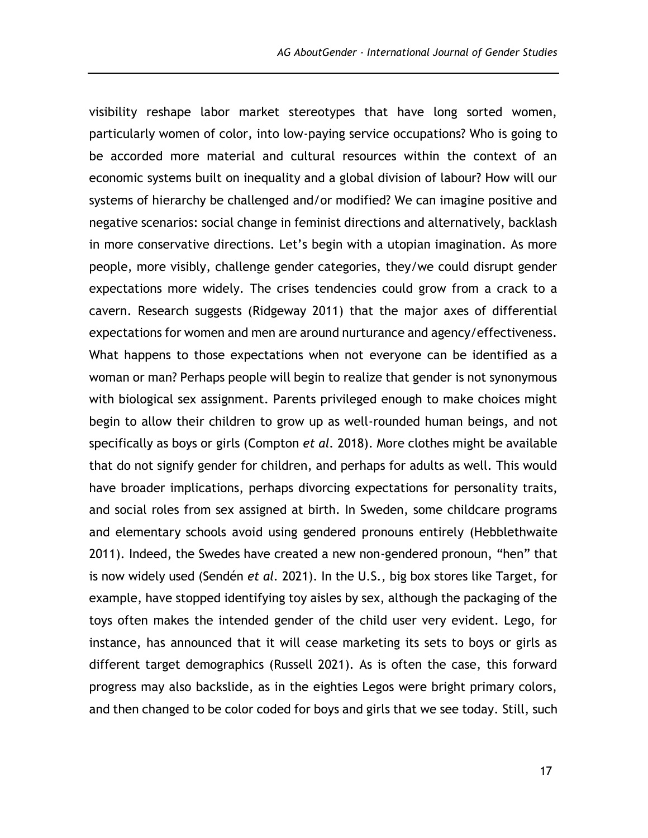visibility reshape labor market stereotypes that have long sorted women, particularly women of color, into low-paying service occupations? Who is going to be accorded more material and cultural resources within the context of an economic systems built on inequality and a global division of labour? How will our systems of hierarchy be challenged and/or modified? We can imagine positive and negative scenarios: social change in feminist directions and alternatively, backlash in more conservative directions. Let's begin with a utopian imagination. As more people, more visibly, challenge gender categories, they/we could disrupt gender expectations more widely. The crises tendencies could grow from a crack to a cavern. Research suggests (Ridgeway 2011) that the major axes of differential expectations for women and men are around nurturance and agency/effectiveness. What happens to those expectations when not everyone can be identified as a woman or man? Perhaps people will begin to realize that gender is not synonymous with biological sex assignment. Parents privileged enough to make choices might begin to allow their children to grow up as well-rounded human beings, and not specifically as boys or girls (Compton *et al.* 2018). More clothes might be available that do not signify gender for children, and perhaps for adults as well. This would have broader implications, perhaps divorcing expectations for personality traits, and social roles from sex assigned at birth. In Sweden, some childcare programs and elementary schools avoid using gendered pronouns entirely (Hebblethwaite 2011). Indeed, the Swedes have created a new non-gendered pronoun, "hen" that is now widely used (Sendén *et al.* 2021). In the U.S., big box stores like Target, for example, have stopped identifying toy aisles by sex, although the packaging of the toys often makes the intended gender of the child user very evident. Lego, for instance, has announced that it will cease marketing its sets to boys or girls as different target demographics (Russell 2021). As is often the case, this forward progress may also backslide, as in the eighties Legos were bright primary colors, and then changed to be color coded for boys and girls that we see today. Still, such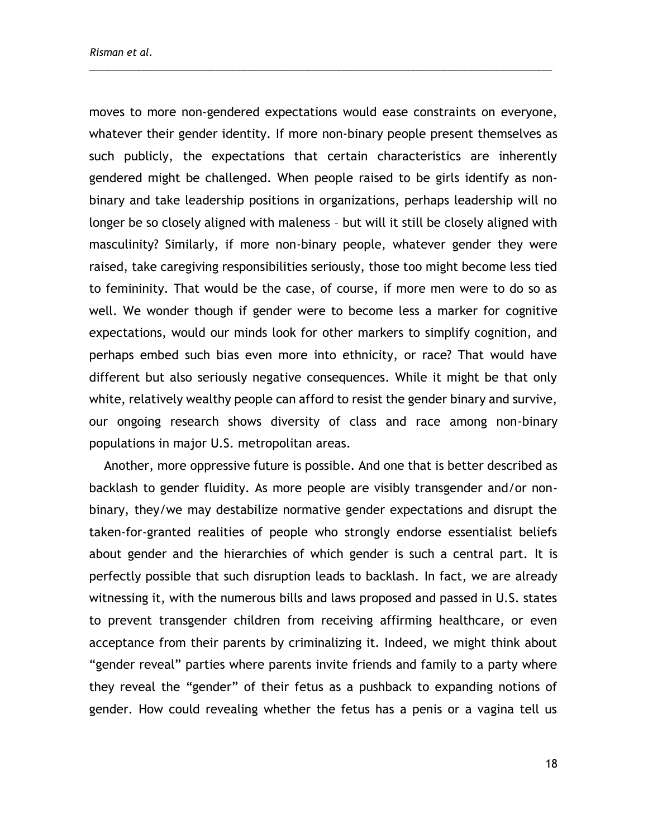moves to more non-gendered expectations would ease constraints on everyone, whatever their gender identity. If more non-binary people present themselves as such publicly, the expectations that certain characteristics are inherently gendered might be challenged. When people raised to be girls identify as nonbinary and take leadership positions in organizations, perhaps leadership will no longer be so closely aligned with maleness – but will it still be closely aligned with masculinity? Similarly, if more non-binary people, whatever gender they were raised, take caregiving responsibilities seriously, those too might become less tied to femininity. That would be the case, of course, if more men were to do so as well. We wonder though if gender were to become less a marker for cognitive expectations, would our minds look for other markers to simplify cognition, and perhaps embed such bias even more into ethnicity, or race? That would have different but also seriously negative consequences. While it might be that only white, relatively wealthy people can afford to resist the gender binary and survive, our ongoing research shows diversity of class and race among non-binary populations in major U.S. metropolitan areas.

\_\_\_\_\_\_\_\_\_\_\_\_\_\_\_\_\_\_\_\_\_\_\_\_\_\_\_\_\_\_\_\_\_\_\_\_\_\_\_\_\_\_\_\_\_\_\_\_\_\_\_\_\_\_\_\_\_\_\_\_\_\_\_\_\_\_\_\_\_\_\_\_\_\_\_\_\_\_\_\_\_\_\_\_\_\_\_\_

Another, more oppressive future is possible. And one that is better described as backlash to gender fluidity. As more people are visibly transgender and/or nonbinary, they/we may destabilize normative gender expectations and disrupt the taken-for-granted realities of people who strongly endorse essentialist beliefs about gender and the hierarchies of which gender is such a central part. It is perfectly possible that such disruption leads to backlash. In fact, we are already witnessing it, with the numerous bills and laws proposed and passed in U.S. states to prevent transgender children from receiving affirming healthcare, or even acceptance from their parents by criminalizing it. Indeed, we might think about "gender reveal" parties where parents invite friends and family to a party where they reveal the "gender" of their fetus as a pushback to expanding notions of gender. How could revealing whether the fetus has a penis or a vagina tell us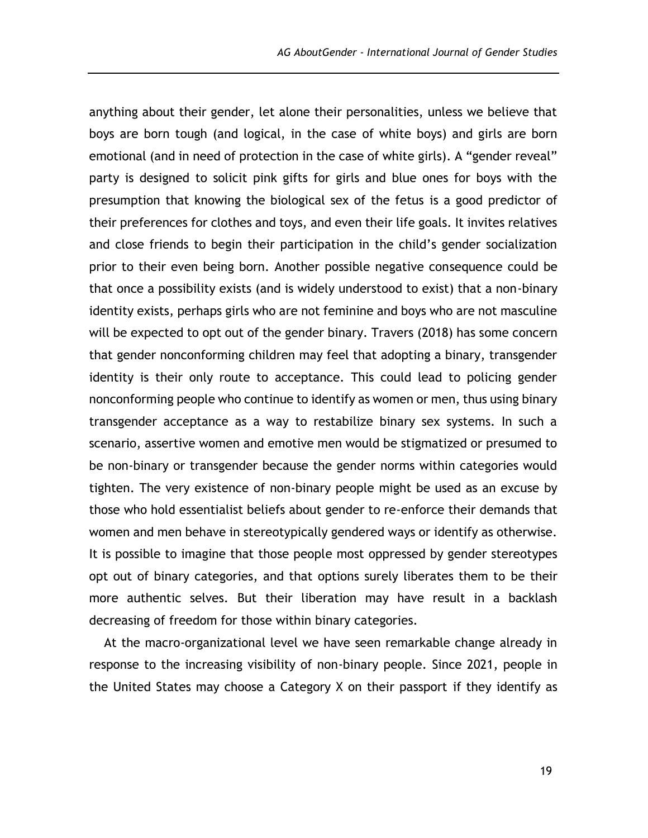anything about their gender, let alone their personalities, unless we believe that boys are born tough (and logical, in the case of white boys) and girls are born emotional (and in need of protection in the case of white girls). A "gender reveal" party is designed to solicit pink gifts for girls and blue ones for boys with the presumption that knowing the biological sex of the fetus is a good predictor of their preferences for clothes and toys, and even their life goals. It invites relatives and close friends to begin their participation in the child's gender socialization prior to their even being born. Another possible negative consequence could be that once a possibility exists (and is widely understood to exist) that a non-binary identity exists, perhaps girls who are not feminine and boys who are not masculine will be expected to opt out of the gender binary. Travers (2018) has some concern that gender nonconforming children may feel that adopting a binary, transgender identity is their only route to acceptance. This could lead to policing gender nonconforming people who continue to identify as women or men, thus using binary transgender acceptance as a way to restabilize binary sex systems. In such a scenario, assertive women and emotive men would be stigmatized or presumed to be non-binary or transgender because the gender norms within categories would tighten. The very existence of non-binary people might be used as an excuse by those who hold essentialist beliefs about gender to re-enforce their demands that women and men behave in stereotypically gendered ways or identify as otherwise. It is possible to imagine that those people most oppressed by gender stereotypes opt out of binary categories, and that options surely liberates them to be their more authentic selves. But their liberation may have result in a backlash decreasing of freedom for those within binary categories.

At the macro-organizational level we have seen remarkable change already in response to the increasing visibility of non-binary people. Since 2021, people in the United States may choose a Category X on their passport if they identify as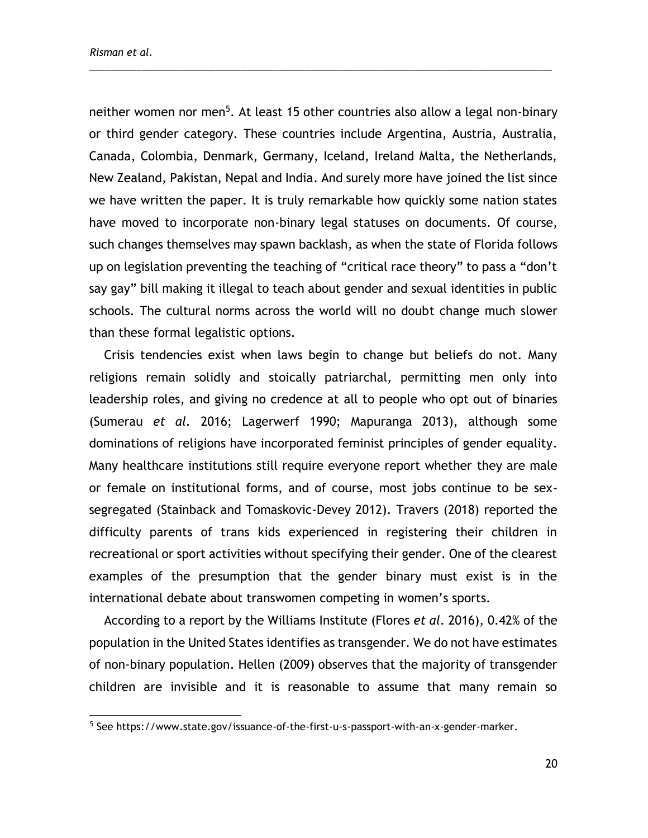neither women nor men<sup>5</sup>. At least 15 other countries also allow a legal non-binary or third gender category. These countries include Argentina, Austria, Australia, Canada, Colombia, Denmark, Germany, Iceland, Ireland Malta, the Netherlands, New Zealand, Pakistan, Nepal and India. And surely more have joined the list since we have written the paper. It is truly remarkable how quickly some nation states have moved to incorporate non-binary legal statuses on documents. Of course, such changes themselves may spawn backlash, as when the state of Florida follows up on legislation preventing the teaching of "critical race theory" to pass a "don't say gay" bill making it illegal to teach about gender and sexual identities in public schools. The cultural norms across the world will no doubt change much slower than these formal legalistic options.

\_\_\_\_\_\_\_\_\_\_\_\_\_\_\_\_\_\_\_\_\_\_\_\_\_\_\_\_\_\_\_\_\_\_\_\_\_\_\_\_\_\_\_\_\_\_\_\_\_\_\_\_\_\_\_\_\_\_\_\_\_\_\_\_\_\_\_\_\_\_\_\_\_\_\_\_\_\_\_\_\_\_\_\_\_\_\_\_

Crisis tendencies exist when laws begin to change but beliefs do not. Many religions remain solidly and stoically patriarchal, permitting men only into leadership roles, and giving no credence at all to people who opt out of binaries (Sumerau *et al.* 2016; Lagerwerf 1990; Mapuranga 2013), although some dominations of religions have incorporated feminist principles of gender equality. Many healthcare institutions still require everyone report whether they are male or female on institutional forms, and of course, most jobs continue to be sexsegregated (Stainback and Tomaskovic-Devey 2012). Travers (2018) reported the difficulty parents of trans kids experienced in registering their children in recreational or sport activities without specifying their gender. One of the clearest examples of the presumption that the gender binary must exist is in the international debate about transwomen competing in women's sports.

According to a report by the Williams Institute (Flores *et al*. 2016), 0.42% of the population in the United States identifies as transgender. We do not have estimates of non-binary population. Hellen (2009) observes that the majority of transgender children are invisible and it is reasonable to assume that many remain so

<sup>&</sup>lt;sup>5</sup> See [https://www.state.gov/issuance-of-the-first-u-s-passport-with-an-x-gender-marker.](https://www.state.gov/issuance-of-the-first-u-s-passport-with-an-x-gender-marker)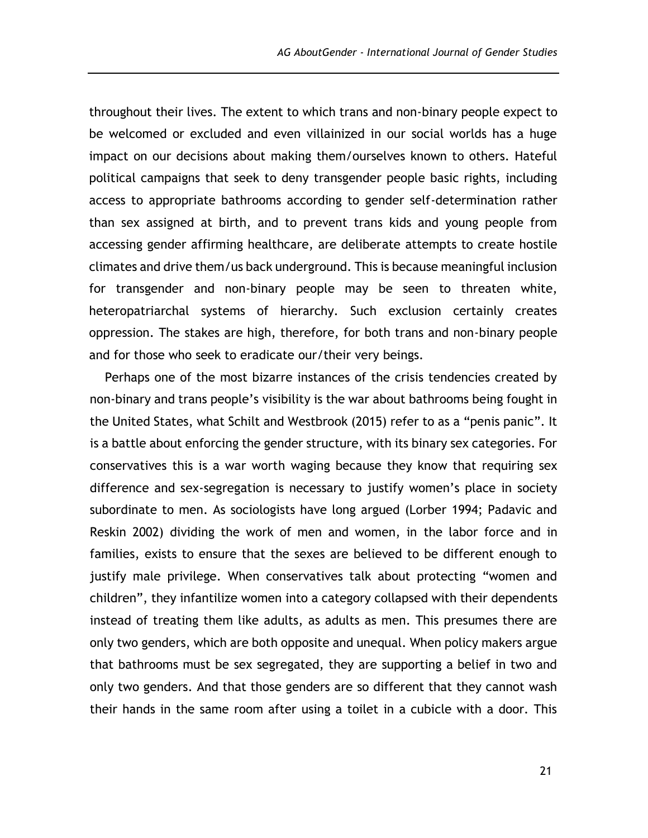throughout their lives. The extent to which trans and non-binary people expect to be welcomed or excluded and even villainized in our social worlds has a huge impact on our decisions about making them/ourselves known to others. Hateful political campaigns that seek to deny transgender people basic rights, including access to appropriate bathrooms according to gender self-determination rather than sex assigned at birth, and to prevent trans kids and young people from accessing gender affirming healthcare, are deliberate attempts to create hostile climates and drive them/us back underground. This is because meaningful inclusion for transgender and non-binary people may be seen to threaten white, heteropatriarchal systems of hierarchy. Such exclusion certainly creates oppression. The stakes are high, therefore, for both trans and non-binary people and for those who seek to eradicate our/their very beings.

Perhaps one of the most bizarre instances of the crisis tendencies created by non-binary and trans people's visibility is the war about bathrooms being fought in the United States, what Schilt and Westbrook (2015) refer to as a "penis panic". It is a battle about enforcing the gender structure, with its binary sex categories. For conservatives this is a war worth waging because they know that requiring sex difference and sex-segregation is necessary to justify women's place in society subordinate to men. As sociologists have long argued (Lorber 1994; Padavic and Reskin 2002) dividing the work of men and women, in the labor force and in families, exists to ensure that the sexes are believed to be different enough to justify male privilege. When conservatives talk about protecting "women and children", they infantilize women into a category collapsed with their dependents instead of treating them like adults, as adults as men. This presumes there are only two genders, which are both opposite and unequal. When policy makers argue that bathrooms must be sex segregated, they are supporting a belief in two and only two genders. And that those genders are so different that they cannot wash their hands in the same room after using a toilet in a cubicle with a door. This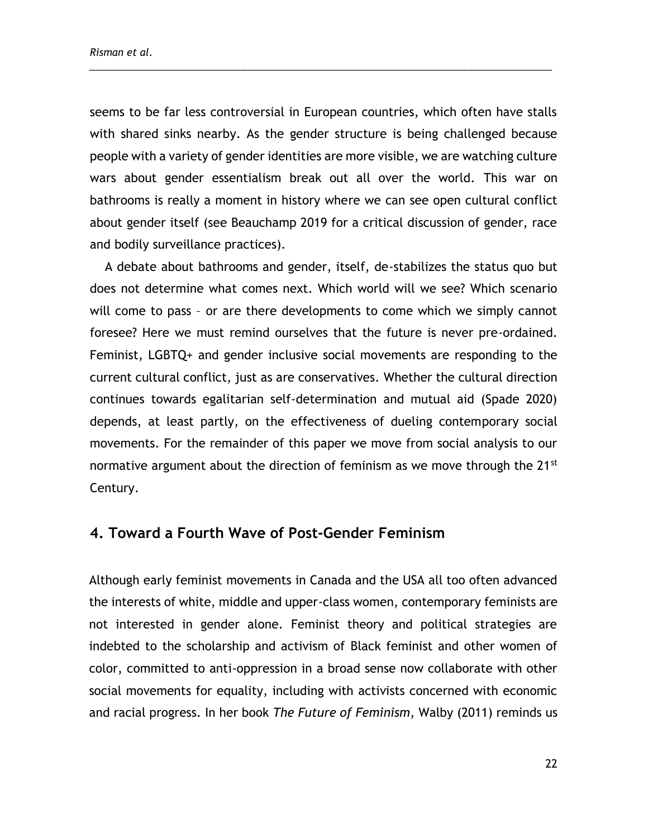seems to be far less controversial in European countries, which often have stalls with shared sinks nearby. As the gender structure is being challenged because people with a variety of gender identities are more visible, we are watching culture wars about gender essentialism break out all over the world. This war on bathrooms is really a moment in history where we can see open cultural conflict about gender itself (see Beauchamp 2019 for a critical discussion of gender, race and bodily surveillance practices).

\_\_\_\_\_\_\_\_\_\_\_\_\_\_\_\_\_\_\_\_\_\_\_\_\_\_\_\_\_\_\_\_\_\_\_\_\_\_\_\_\_\_\_\_\_\_\_\_\_\_\_\_\_\_\_\_\_\_\_\_\_\_\_\_\_\_\_\_\_\_\_\_\_\_\_\_\_\_\_\_\_\_\_\_\_\_\_\_

A debate about bathrooms and gender, itself, de-stabilizes the status quo but does not determine what comes next. Which world will we see? Which scenario will come to pass – or are there developments to come which we simply cannot foresee? Here we must remind ourselves that the future is never pre-ordained. Feminist, LGBTQ+ and gender inclusive social movements are responding to the current cultural conflict, just as are conservatives. Whether the cultural direction continues towards egalitarian self-determination and mutual aid (Spade 2020) depends, at least partly, on the effectiveness of dueling contemporary social movements. For the remainder of this paper we move from social analysis to our normative argument about the direction of feminism as we move through the 21<sup>st</sup> Century.

## **4. Toward a Fourth Wave of Post-Gender Feminism**

Although early feminist movements in Canada and the USA all too often advanced the interests of white, middle and upper-class women, contemporary feminists are not interested in gender alone. Feminist theory and political strategies are indebted to the scholarship and activism of Black feminist and other women of color, committed to anti-oppression in a broad sense now collaborate with other social movements for equality, including with activists concerned with economic and racial progress. In her book *The Future of Feminism*, Walby (2011) reminds us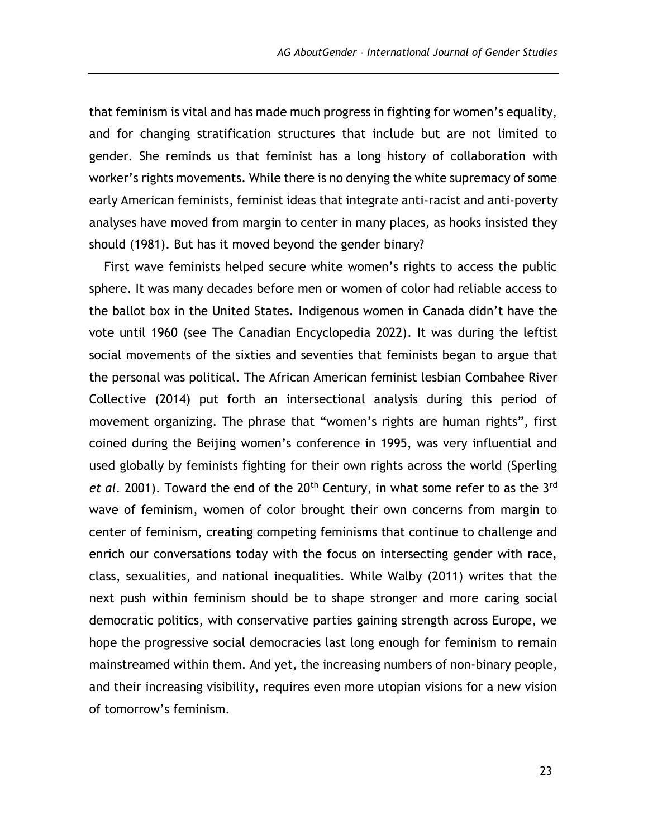that feminism is vital and has made much progress in fighting for women's equality, and for changing stratification structures that include but are not limited to gender. She reminds us that feminist has a long history of collaboration with worker's rights movements. While there is no denying the white supremacy of some early American feminists, feminist ideas that integrate anti-racist and anti-poverty analyses have moved from margin to center in many places, as hooks insisted they should (1981). But has it moved beyond the gender binary?

First wave feminists helped secure white women's rights to access the public sphere. It was many decades before men or women of color had reliable access to the ballot box in the United States. Indigenous women in Canada didn't have the vote until 1960 (see The Canadian Encyclopedia 2022). It was during the leftist social movements of the sixties and seventies that feminists began to argue that the personal was political. The African American feminist lesbian Combahee River Collective (2014) put forth an intersectional analysis during this period of movement organizing. The phrase that "women's rights are human rights", first coined during the Beijing women's conference in 1995, was very influential and used globally by feminists fighting for their own rights across the world (Sperling et al. 2001). Toward the end of the 20<sup>th</sup> Century, in what some refer to as the 3<sup>rd</sup> wave of feminism, women of color brought their own concerns from margin to center of feminism, creating competing feminisms that continue to challenge and enrich our conversations today with the focus on intersecting gender with race, class, sexualities, and national inequalities. While Walby (2011) writes that the next push within feminism should be to shape stronger and more caring social democratic politics, with conservative parties gaining strength across Europe, we hope the progressive social democracies last long enough for feminism to remain mainstreamed within them. And yet, the increasing numbers of non-binary people, and their increasing visibility, requires even more utopian visions for a new vision of tomorrow's feminism.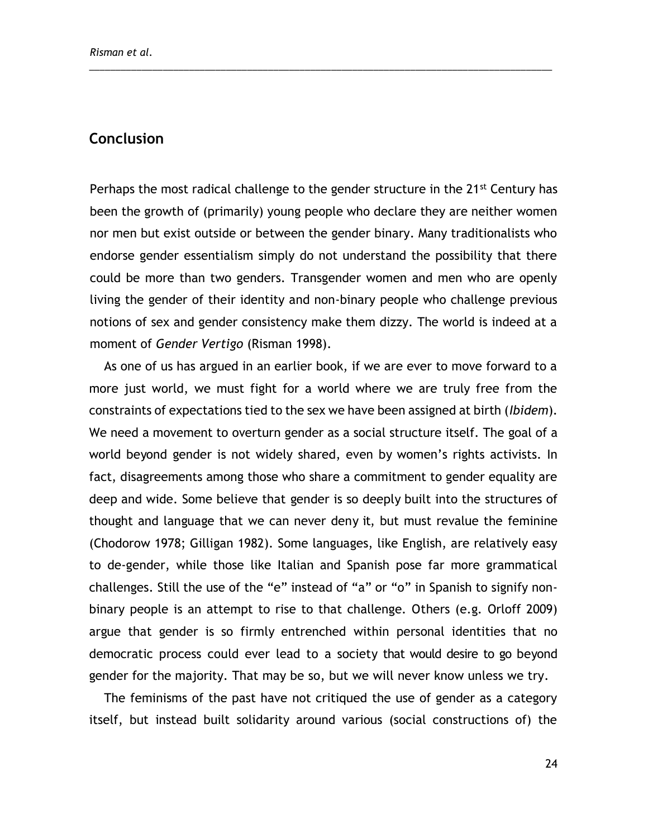### **Conclusion**

Perhaps the most radical challenge to the gender structure in the 21<sup>st</sup> Century has been the growth of (primarily) young people who declare they are neither women nor men but exist outside or between the gender binary. Many traditionalists who endorse gender essentialism simply do not understand the possibility that there could be more than two genders. Transgender women and men who are openly living the gender of their identity and non-binary people who challenge previous notions of sex and gender consistency make them dizzy. The world is indeed at a moment of *Gender Vertigo* (Risman 1998).

\_\_\_\_\_\_\_\_\_\_\_\_\_\_\_\_\_\_\_\_\_\_\_\_\_\_\_\_\_\_\_\_\_\_\_\_\_\_\_\_\_\_\_\_\_\_\_\_\_\_\_\_\_\_\_\_\_\_\_\_\_\_\_\_\_\_\_\_\_\_\_\_\_\_\_\_\_\_\_\_\_\_\_\_\_\_\_\_

As one of us has argued in an earlier book, if we are ever to move forward to a more just world, we must fight for a world where we are truly free from the constraints of expectations tied to the sex we have been assigned at birth (*Ibidem*). We need a movement to overturn gender as a social structure itself. The goal of a world beyond gender is not widely shared, even by women's rights activists. In fact, disagreements among those who share a commitment to gender equality are deep and wide. Some believe that gender is so deeply built into the structures of thought and language that we can never deny it, but must revalue the feminine (Chodorow 1978; Gilligan 1982). Some languages, like English, are relatively easy to de-gender, while those like Italian and Spanish pose far more grammatical challenges. Still the use of the "e" instead of "a" or "o" in Spanish to signify nonbinary people is an attempt to rise to that challenge. Others (e.g. Orloff 2009) argue that gender is so firmly entrenched within personal identities that no democratic process could ever lead to a society that would desire to go beyond gender for the majority. That may be so, but we will never know unless we try.

The feminisms of the past have not critiqued the use of gender as a category itself, but instead built solidarity around various (social constructions of) the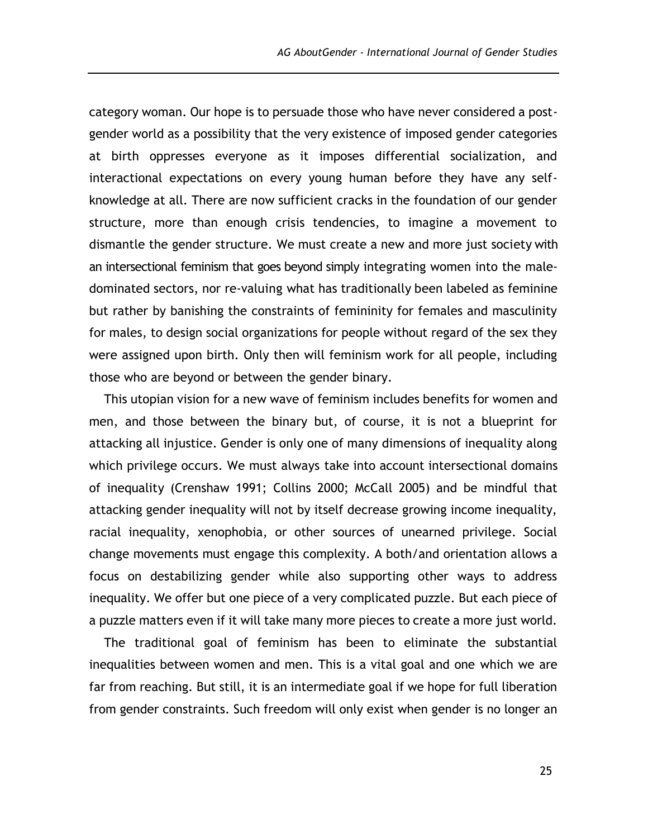category woman. Our hope is to persuade those who have never considered a postgender world as a possibility that the very existence of imposed gender categories at birth oppresses everyone as it imposes differential socialization, and interactional expectations on every young human before they have any selfknowledge at all. There are now sufficient cracks in the foundation of our gender structure, more than enough crisis tendencies, to imagine a movement to dismantle the gender structure. We must create a new and more just society with an intersectional feminism that goes beyond simply integrating women into the maledominated sectors, nor re-valuing what has traditionally been labeled as feminine but rather by banishing the constraints of femininity for females and masculinity for males, to design social organizations for people without regard of the sex they were assigned upon birth. Only then will feminism work for all people, including those who are beyond or between the gender binary.

This utopian vision for a new wave of feminism includes benefits for women and men, and those between the binary but, of course, it is not a blueprint for attacking all injustice. Gender is only one of many dimensions of inequality along which privilege occurs. We must always take into account intersectional domains of inequality (Crenshaw 1991; Collins 2000; McCall 2005) and be mindful that attacking gender inequality will not by itself decrease growing income inequality, racial inequality, xenophobia, or other sources of unearned privilege. Social change movements must engage this complexity. A both/and orientation allows a focus on destabilizing gender while also supporting other ways to address inequality. We offer but one piece of a very complicated puzzle. But each piece of a puzzle matters even if it will take many more pieces to create a more just world.

The traditional goal of feminism has been to eliminate the substantial inequalities between women and men. This is a vital goal and one which we are far from reaching. But still, it is an intermediate goal if we hope for full liberation from gender constraints. Such freedom will only exist when gender is no longer an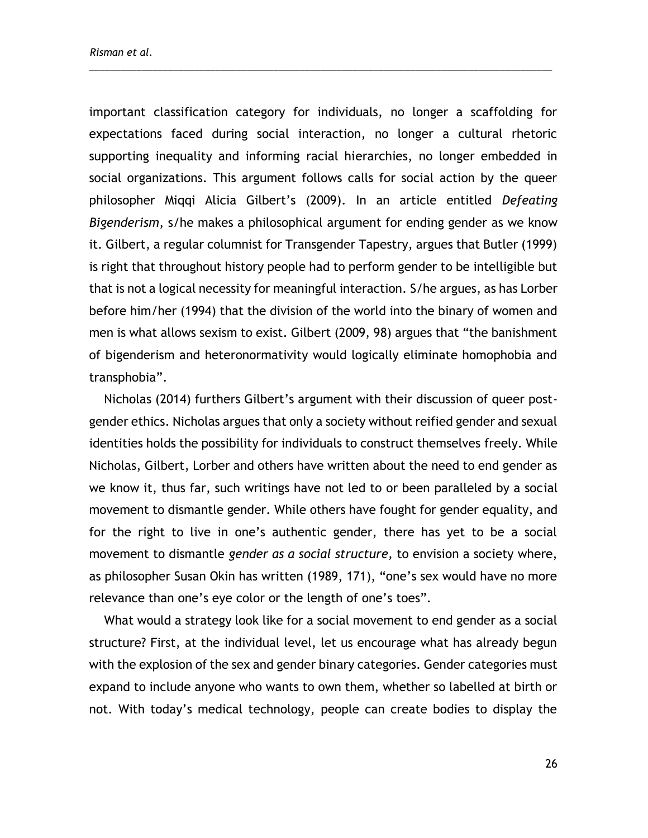important classification category for individuals, no longer a scaffolding for expectations faced during social interaction, no longer a cultural rhetoric supporting inequality and informing racial hierarchies, no longer embedded in social organizations. This argument follows calls for social action by the queer philosopher Miqqi Alicia Gilbert's (2009). In an article entitled *Defeating Bigenderism*, s/he makes a philosophical argument for ending gender as we know it. Gilbert, a regular columnist for Transgender Tapestry, argues that Butler (1999) is right that throughout history people had to perform gender to be intelligible but that is not a logical necessity for meaningful interaction. S/he argues, as has Lorber before him/her (1994) that the division of the world into the binary of women and men is what allows sexism to exist. Gilbert (2009, 98) argues that "the banishment of bigenderism and heteronormativity would logically eliminate homophobia and transphobia".

\_\_\_\_\_\_\_\_\_\_\_\_\_\_\_\_\_\_\_\_\_\_\_\_\_\_\_\_\_\_\_\_\_\_\_\_\_\_\_\_\_\_\_\_\_\_\_\_\_\_\_\_\_\_\_\_\_\_\_\_\_\_\_\_\_\_\_\_\_\_\_\_\_\_\_\_\_\_\_\_\_\_\_\_\_\_\_\_

Nicholas (2014) furthers Gilbert's argument with their discussion of queer postgender ethics. Nicholas argues that only a society without reified gender and sexual identities holds the possibility for individuals to construct themselves freely. While Nicholas, Gilbert, Lorber and others have written about the need to end gender as we know it, thus far, such writings have not led to or been paralleled by a social movement to dismantle gender. While others have fought for gender equality, and for the right to live in one's authentic gender, there has yet to be a social movement to dismantle *gender as a social structure,* to envision a society where, as philosopher Susan Okin has written (1989, 171), "one's sex would have no more relevance than one's eye color or the length of one's toes".

What would a strategy look like for a social movement to end gender as a social structure? First, at the individual level, let us encourage what has already begun with the explosion of the sex and gender binary categories. Gender categories must expand to include anyone who wants to own them, whether so labelled at birth or not. With today's medical technology, people can create bodies to display the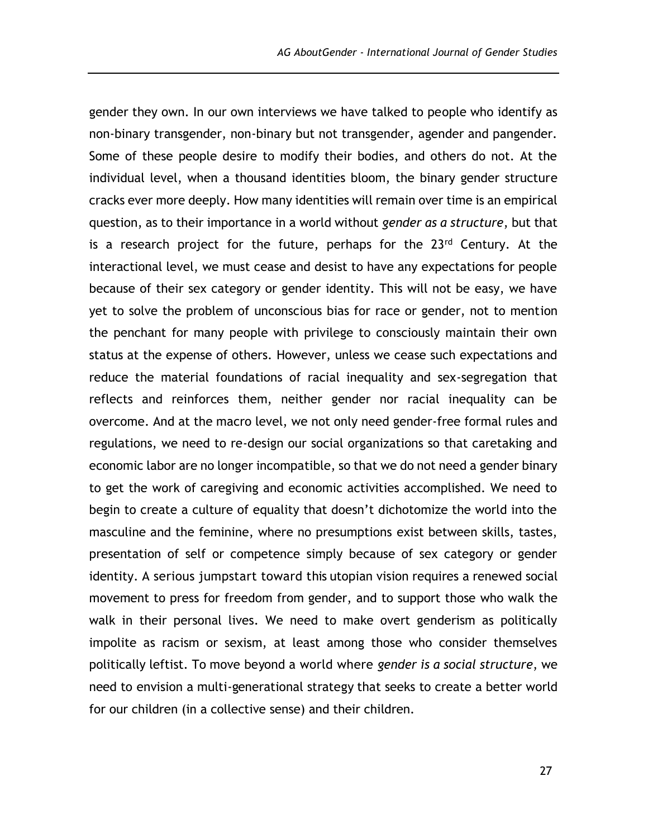gender they own. In our own interviews we have talked to people who identify as non-binary transgender, non-binary but not transgender, agender and pangender. Some of these people desire to modify their bodies, and others do not. At the individual level, when a thousand identities bloom, the binary gender structure cracks ever more deeply. How many identities will remain over time is an empirical question, as to their importance in a world without *gender as a structure*, but that is a research project for the future, perhaps for the  $23<sup>rd</sup>$  Century. At the interactional level, we must cease and desist to have any expectations for people because of their sex category or gender identity. This will not be easy, we have yet to solve the problem of unconscious bias for race or gender, not to mention the penchant for many people with privilege to consciously maintain their own status at the expense of others. However, unless we cease such expectations and reduce the material foundations of racial inequality and sex-segregation that reflects and reinforces them, neither gender nor racial inequality can be overcome. And at the macro level, we not only need gender-free formal rules and regulations, we need to re-design our social organizations so that caretaking and economic labor are no longer incompatible, so that we do not need a gender binary to get the work of caregiving and economic activities accomplished. We need to begin to create a culture of equality that doesn't dichotomize the world into the masculine and the feminine, where no presumptions exist between skills, tastes, presentation of self or competence simply because of sex category or gender identity. A serious jumpstart toward this utopian vision requires a renewed social movement to press for freedom from gender, and to support those who walk the walk in their personal lives. We need to make overt genderism as politically impolite as racism or sexism, at least among those who consider themselves politically leftist. To move beyond a world where *gender is a social structure*, we need to envision a multi-generational strategy that seeks to create a better world for our children (in a collective sense) and their children.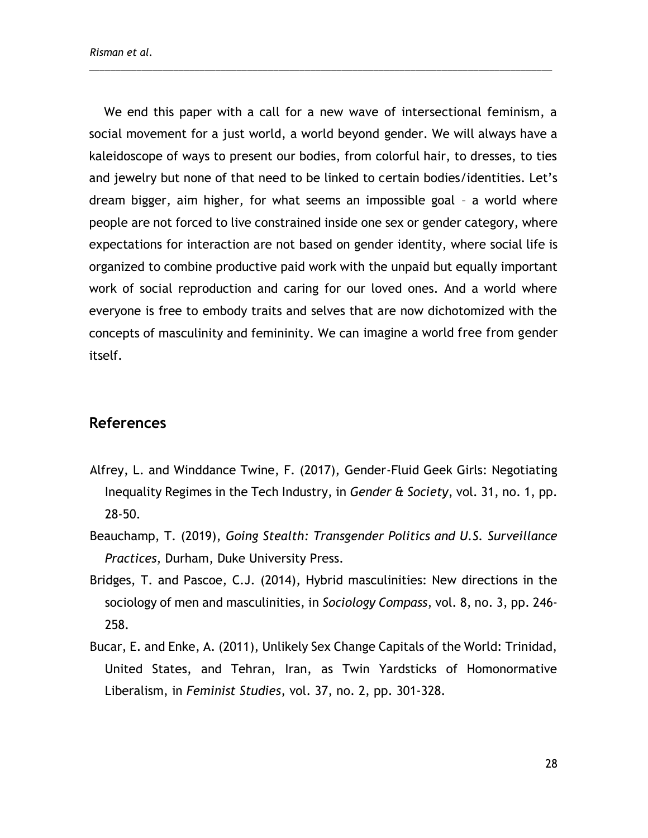We end this paper with a call for a new wave of intersectional feminism, a social movement for a just world, a world beyond gender. We will always have a kaleidoscope of ways to present our bodies, from colorful hair, to dresses, to ties and jewelry but none of that need to be linked to certain bodies/identities. Let's dream bigger, aim higher, for what seems an impossible goal – a world where people are not forced to live constrained inside one sex or gender category, where expectations for interaction are not based on gender identity, where social life is organized to combine productive paid work with the unpaid but equally important work of social reproduction and caring for our loved ones. And a world where everyone is free to embody traits and selves that are now dichotomized with the concepts of masculinity and femininity. We can imagine a world free from gender itself.

\_\_\_\_\_\_\_\_\_\_\_\_\_\_\_\_\_\_\_\_\_\_\_\_\_\_\_\_\_\_\_\_\_\_\_\_\_\_\_\_\_\_\_\_\_\_\_\_\_\_\_\_\_\_\_\_\_\_\_\_\_\_\_\_\_\_\_\_\_\_\_\_\_\_\_\_\_\_\_\_\_\_\_\_\_\_\_\_

### **References**

- Alfrey, L. and Winddance Twine, F. (2017), Gender-Fluid Geek Girls: Negotiating Inequality Regimes in the Tech Industry, in *Gender & Society*, vol. 31, no. 1, pp. 28-50.
- Beauchamp, T. (2019), *Going Stealth: Transgender Politics and U.S. Surveillance Practices*, Durham, Duke University Press.
- Bridges, T. and Pascoe, C.J. (2014), Hybrid masculinities: New directions in the sociology of men and masculinities, in *Sociology Compass*, vol. 8, no. 3, pp. 246- 258.
- Bucar, E. and Enke, A. (2011), Unlikely Sex Change Capitals of the World: Trinidad, United States, and Tehran, Iran, as Twin Yardsticks of Homonormative Liberalism, in *Feminist Studies*, vol. 37, no. 2, pp. 301-328.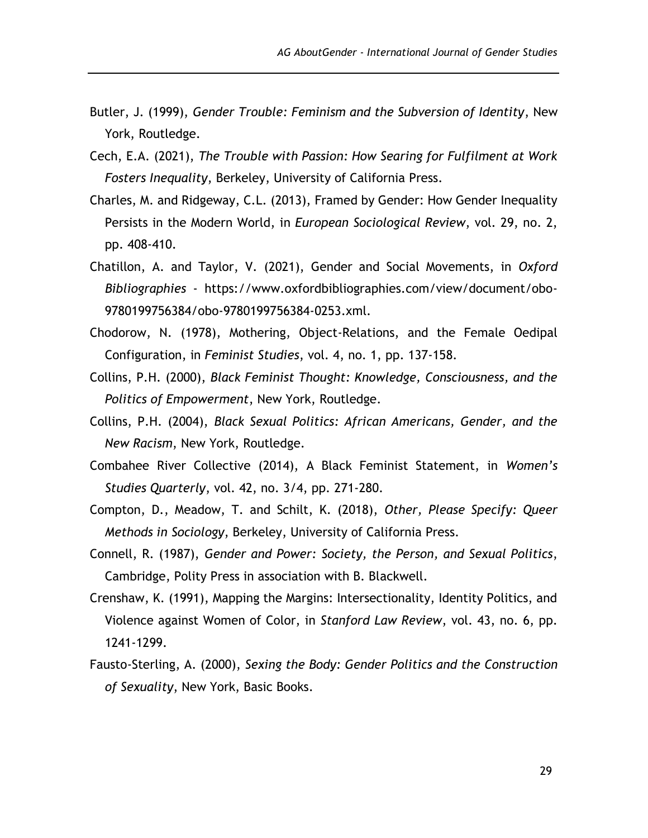- Butler, J. (1999), *Gender Trouble: Feminism and the Subversion of Identity*, New York, Routledge.
- Cech, E.A. (2021), *The Trouble with Passion: How Searing for Fulfilment at Work Fosters Inequality*, Berkeley, University of California Press.
- Charles, M. and Ridgeway, C.L. (2013), Framed by Gender: How Gender Inequality Persists in the Modern World, in *European Sociological Review*, vol. 29, no. 2, pp. 408-410.
- Chatillon, A. and Taylor, V. (2021), Gender and Social Movements, in *Oxford Bibliographies* - [https://www.oxfordbibliographies.com/view/document/obo-](https://www.oxfordbibliographies.com/view/document/obo-9780199756384/)[9780199756384/o](https://www.oxfordbibliographies.com/view/document/obo-9780199756384/)bo-9780199756384-0253.xml.
- Chodorow, N. (1978), Mothering, Object-Relations, and the Female Oedipal Configuration, in *Feminist Studies*, vol. 4, no. 1, pp. 137-158.
- Collins, P.H. (2000), *Black Feminist Thought: Knowledge, Consciousness, and the Politics of Empowerment*, New York, Routledge.
- Collins, P.H. (2004), *Black Sexual Politics: African Americans, Gender, and the New Racism*, New York, Routledge.
- Combahee River Collective (2014), A Black Feminist Statement, in *Women's Studies Quarterly*, vol. 42, no. 3/4, pp. 271-280.
- Compton, D., Meadow, T. and Schilt, K. (2018), *Other, Please Specify: Queer Methods in Sociology*, Berkeley, University of California Press.
- Connell, R. (1987), *Gender and Power: Society, the Person, and Sexual Politics*, Cambridge, Polity Press in association with B. Blackwell.
- Crenshaw, K. (1991), Mapping the Margins: Intersectionality, Identity Politics, and Violence against Women of Color, in *Stanford Law Review*, vol. 43, no. 6, pp. 1241-1299.
- Fausto-Sterling, A. (2000), *Sexing the Body: Gender Politics and the Construction of Sexuality*, New York, Basic Books.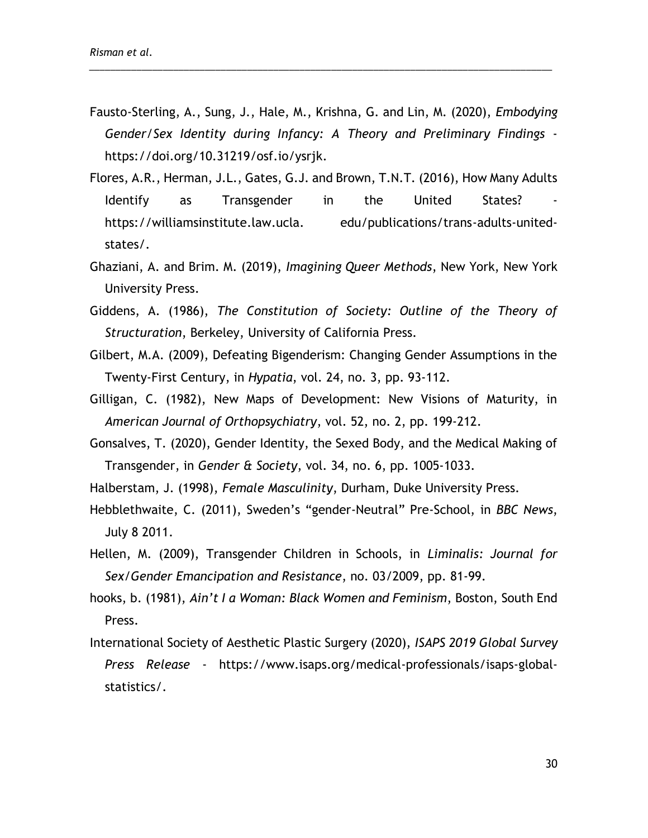Fausto-Sterling, A., Sung, J., Hale, M., Krishna, G. and Lin, M. (2020), *Embodying Gender/Sex Identity during Infancy: A Theory and Preliminary Findings* [https://doi.org/10.31219/osf.io/ysrjk.](https://doi.org/10.31219/osf.io/ysrjk)

- Flores, A.R., Herman, J.L., Gates, G.J. and Brown, T.N.T. (2016), How Many Adults Identify as Transgender in the United States? https://williamsinstitute.law.ucla. edu/publications/trans-adults-unitedstates/.
- Ghaziani, A. and Brim. M. (2019), *Imagining Queer Methods*, New York, New York University Press.
- Giddens, A. (1986), *The Constitution of Society: Outline of the Theory of Structuration*, Berkeley, University of California Press.
- Gilbert, M.A. (2009), Defeating Bigenderism: Changing Gender Assumptions in the Twenty-First Century, in *Hypatia*, vol. 24, no. 3, pp. 93-112.
- Gilligan, C. (1982), New Maps of Development: New Visions of Maturity, in *American Journal of Orthopsychiatry*, vol. 52, no. 2, pp. 199-212.
- Gonsalves, T. (2020), Gender Identity, the Sexed Body, and the Medical Making of Transgender, in *Gender & Society*, vol. 34, no. 6, pp. 1005-1033.
- Halberstam, J. (1998), *Female Masculinity*, Durham, Duke University Press.
- Hebblethwaite, C. (2011), Sweden's "gender-Neutral" Pre-School, in *BBC News*, July 8 2011.
- Hellen, M. (2009), Transgender Children in Schools, in *Liminalis: Journal for Sex/Gender Emancipation and Resistance*, no. 03/2009, pp. 81-99.
- hooks, b. (1981), *Ain't I a Woman: Black Women and Feminism*, Boston, South End Press.
- International Society of Aesthetic Plastic Surgery (2020), *ISAPS 2019 Global Survey Press Release* - [https://www.isaps.org/medical-professionals/isaps-global](https://www.isaps.org/medical-professionals/isaps-global-statistics/)[statistics/.](https://www.isaps.org/medical-professionals/isaps-global-statistics/)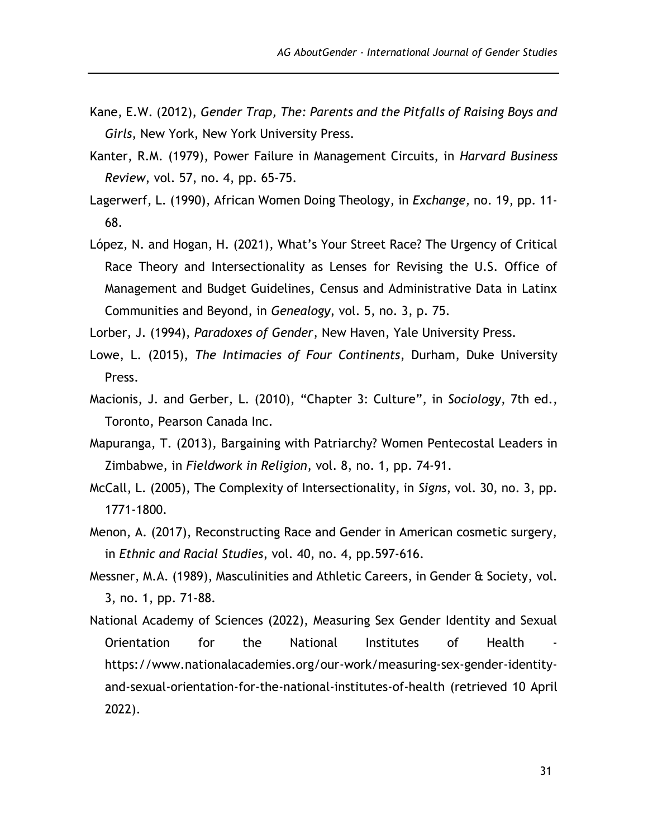- Kane, E.W. (2012), *Gender Trap, The: Parents and the Pitfalls of Raising Boys and Girls*, New York, New York University Press.
- Kanter, R.M. (1979), Power Failure in Management Circuits, in *Harvard Business Review*, vol. 57, no. 4, pp. 65-75.
- Lagerwerf, L. (1990), African Women Doing Theology, in *Exchange*, no. 19, pp. 11- 68.
- López, N. and Hogan, H. (2021), What's Your Street Race? The Urgency of Critical Race Theory and Intersectionality as Lenses for Revising the U.S. Office of Management and Budget Guidelines, Census and Administrative Data in Latinx Communities and Beyond, in *Genealogy*, vol. 5, no. 3, p. 75.
- Lorber, J. (1994), *Paradoxes of Gender*, New Haven, Yale University Press.
- Lowe, L. (2015), *The Intimacies of Four Continents*, Durham, Duke University Press.
- Macionis, J. and Gerber, L. (2010), "Chapter 3: Culture", in *Sociology*, 7th ed., Toronto, Pearson Canada Inc.
- Mapuranga, T. (2013), Bargaining with Patriarchy? Women Pentecostal Leaders in Zimbabwe, in *Fieldwork in Religion*, vol. 8, no. 1, pp. 74-91.
- McCall, L. (2005), The Complexity of Intersectionality, in *Signs*, vol. 30, no. 3, pp. 1771-1800.
- Menon, A. (2017), Reconstructing Race and Gender in American cosmetic surgery, in *Ethnic and Racial Studies*, vol. 40, no. 4, pp.597-616.
- Messner, M.A. (1989), Masculinities and Athletic Careers, in Gender & Society, vol. 3, no. 1, pp. 71-88.
- National Academy of Sciences (2022), Measuring Sex Gender Identity and Sexual Orientation for the National Institutes of Health [https://www.nationalacademies.org/our-work/measuring-sex-gender-identity](https://www.nationalacademies.org/our-work/measuring-sex-gender-identity-and-sexual-orientation-for-the-national-institutes-of-health)[and-sexual-orientation-for-the-national-institutes-of-health](https://www.nationalacademies.org/our-work/measuring-sex-gender-identity-and-sexual-orientation-for-the-national-institutes-of-health) (retrieved 10 April 2022).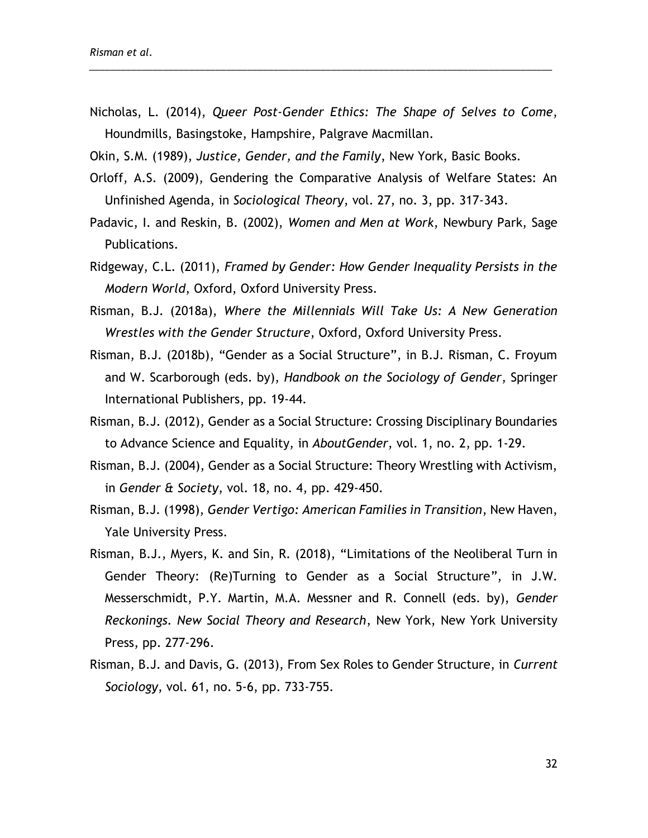Nicholas, L. (2014), *Queer Post-Gender Ethics: The Shape of Selves to Come*, Houndmills, Basingstoke, Hampshire, Palgrave Macmillan.

- Okin, S.M. (1989), *Justice, Gender, and the Family*, New York, Basic Books.
- Orloff, A.S. (2009), Gendering the Comparative Analysis of Welfare States: An Unfinished Agenda, in *Sociological Theory*, vol. 27, no. 3, pp. 317-343.
- Padavic, I. and Reskin, B. (2002), *Women and Men at Work*, Newbury Park, Sage Publications.
- Ridgeway, C.L. (2011), *Framed by Gender: How Gender Inequality Persists in the Modern World*, Oxford, Oxford University Press.
- Risman, B.J. (2018a), *Where the Millennials Will Take Us: A New Generation Wrestles with the Gender Structure*, Oxford, Oxford University Press.
- Risman, B.J. (2018b), "Gender as a Social Structure", in B.J. Risman, C. Froyum and W. Scarborough (eds. by), *Handbook on the Sociology of Gender*, Springer International Publishers, pp. 19-44.
- Risman, B.J. (2012), Gender as a Social Structure: Crossing Disciplinary Boundaries to Advance Science and Equality, in *AboutGender*, vol. 1, no. 2, pp. 1-29.
- Risman, B.J. (2004), Gender as a Social Structure: Theory Wrestling with Activism, in *Gender & Society*, vol. 18, no. 4, pp. 429-450.
- Risman, B.J. (1998), *Gender Vertigo: American Families in Transition*, New Haven, Yale University Press.
- Risman, B.J., Myers, K. and Sin, R. (2018), "Limitations of the Neoliberal Turn in Gender Theory: (Re)Turning to Gender as a Social Structure", in J.W. Messerschmidt, P.Y. Martin, M.A. Messner and R. Connell (eds. by), *Gender Reckonings. New Social Theory and Research*, New York, New York University Press, pp. 277-296.
- Risman, B.J. and Davis, G. (2013), From Sex Roles to Gender Structure, in *Current Sociology*, vol. 61, no. 5-6, pp. 733-755.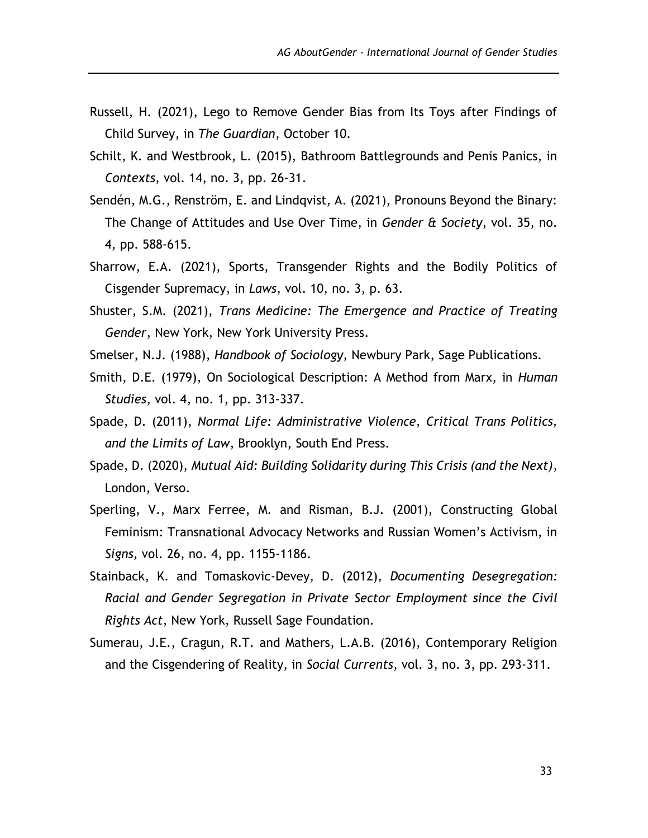- Russell, H. (2021), Lego to Remove Gender Bias from Its Toys after Findings of Child Survey, in *The Guardian*, October 10.
- Schilt, K. and Westbrook, L. (2015), Bathroom Battlegrounds and Penis Panics, in *Contexts*, vol. 14, no. 3, pp. 26-31.
- Sendén, M.G., Renström, E. and Lindqvist, A. (2021), Pronouns Beyond the Binary: The Change of Attitudes and Use Over Time, in *Gender & Society*, vol. 35, no. 4, pp. 588-615.
- Sharrow, E.A. (2021), Sports, Transgender Rights and the Bodily Politics of Cisgender Supremacy, in *Laws*, vol. 10, no. 3, p. 63.
- Shuster, S.M. (2021), *Trans Medicine: The Emergence and Practice of Treating Gender*, New York, New York University Press.
- Smelser, N.J. (1988), *Handbook of Sociology*, Newbury Park, Sage Publications.
- Smith, D.E. (1979), On Sociological Description: A Method from Marx, in *Human Studies*, vol. 4, no. 1, pp. 313-337.
- Spade, D. (2011), *Normal Life: Administrative Violence, Critical Trans Politics, and the Limits of Law*, Brooklyn, South End Press.
- Spade, D. (2020), *Mutual Aid: Building Solidarity during This Crisis (and the Next)*, London, Verso.
- Sperling, V., Marx Ferree, M. and Risman, B.J. (2001), Constructing Global Feminism: Transnational Advocacy Networks and Russian Women's Activism, in *Signs,* vol. 26, no. 4, pp. 1155-1186.
- Stainback, K. and Tomaskovic-Devey, D. (2012), *Documenting Desegregation: Racial and Gender Segregation in Private Sector Employment since the Civil Rights Act*, New York, Russell Sage Foundation.
- Sumerau, J.E., Cragun, R.T. and Mathers, L.A.B. (2016), Contemporary Religion and the Cisgendering of Reality, in *Social Currents*, vol. 3, no. 3, pp. 293-311.